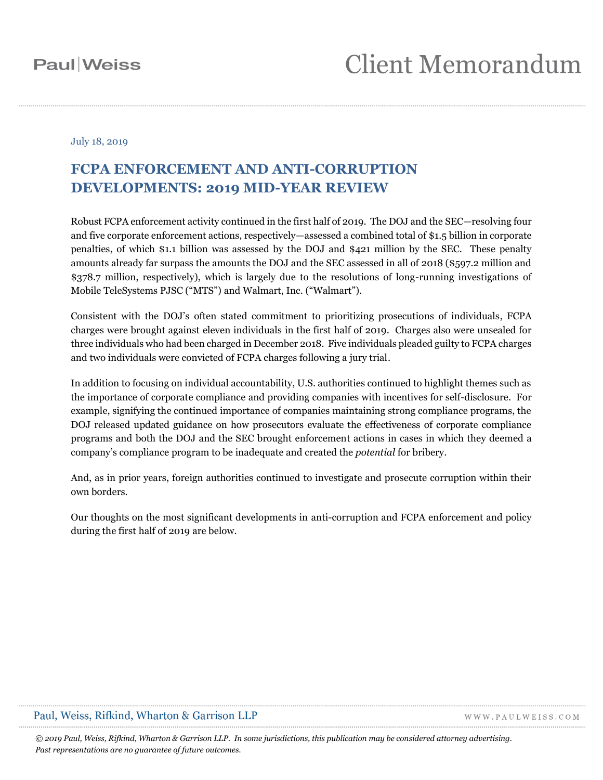### July 18, 2019

### **FCPA ENFORCEMENT AND ANTI-CORRUPTION DEVELOPMENTS: 2019 MID-YEAR REVIEW**

Robust FCPA enforcement activity continued in the first half of 2019. The DOJ and the SEC—resolving four and five corporate enforcement actions, respectively—assessed a combined total of \$1.5 billion in corporate penalties, of which \$1.1 billion was assessed by the DOJ and \$421 million by the SEC. These penalty amounts already far surpass the amounts the DOJ and the SEC assessed in all of 2018 (\$597.2 million and \$378.7 million, respectively), which is largely due to the resolutions of long-running investigations of Mobile TeleSystems PJSC ("MTS") and Walmart, Inc. ("Walmart").

Consistent with the DOJ's often stated commitment to prioritizing prosecutions of individuals, FCPA charges were brought against eleven individuals in the first half of 2019. Charges also were unsealed for three individuals who had been charged in December 2018. Five individuals pleaded guilty to FCPA charges and two individuals were convicted of FCPA charges following a jury trial.

In addition to focusing on individual accountability, U.S. authorities continued to highlight themes such as the importance of corporate compliance and providing companies with incentives for self-disclosure. For example, signifying the continued importance of companies maintaining strong compliance programs, the DOJ released updated guidance on how prosecutors evaluate the effectiveness of corporate compliance programs and both the DOJ and the SEC brought enforcement actions in cases in which they deemed a company's compliance program to be inadequate and created the *potential* for bribery.

And, as in prior years, foreign authorities continued to investigate and prosecute corruption within their own borders.

Our thoughts on the most significant developments in anti-corruption and FCPA enforcement and policy during the first half of 2019 are below.

### Paul, Weiss, Rifkind, Wharton & Garrison LLP

WWW.PAULWEISS.COM

*© 2019 Paul, Weiss, Rifkind, Wharton & Garrison LLP. In some jurisdictions, this publication may be considered attorney advertising. Past representations are no guarantee of future outcomes.*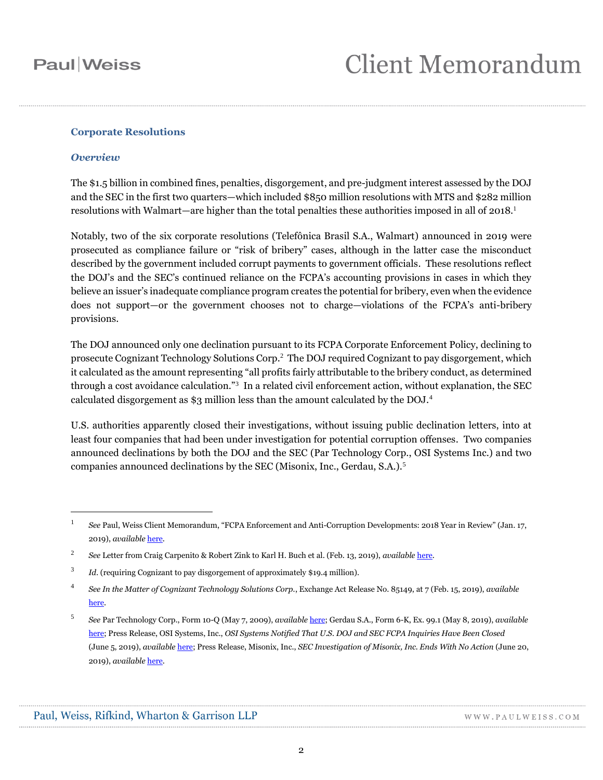### **Corporate Resolutions**

### *Overview*

 $\overline{a}$ 

The \$1.5 billion in combined fines, penalties, disgorgement, and pre-judgment interest assessed by the DOJ and the SEC in the first two quarters—which included \$850 million resolutions with MTS and \$282 million resolutions with Walmart—are higher than the total penalties these authorities imposed in all of  $2018.<sup>1</sup>$ 

Notably, two of the six corporate resolutions (Telefônica Brasil S.A., Walmart) announced in 2019 were prosecuted as compliance failure or "risk of bribery" cases, although in the latter case the misconduct described by the government included corrupt payments to government officials. These resolutions reflect the DOJ's and the SEC's continued reliance on the FCPA's accounting provisions in cases in which they believe an issuer's inadequate compliance program creates the potential for bribery, even when the evidence does not support—or the government chooses not to charge—violations of the FCPA's anti-bribery provisions.

The DOJ announced only one declination pursuant to its FCPA Corporate Enforcement Policy, declining to prosecute Cognizant Technology Solutions Corp. 2 The DOJ required Cognizant to pay disgorgement, which it calculated as the amount representing "all profits fairly attributable to the bribery conduct, as determined through a cost avoidance calculation."<sup>3</sup> In a related civil enforcement action, without explanation, the SEC calculated disgorgement as \$3 million less than the amount calculated by the DOJ.<sup>4</sup>

U.S. authorities apparently closed their investigations, without issuing public declination letters, into at least four companies that had been under investigation for potential corruption offenses. Two companies announced declinations by both the DOJ and the SEC (Par Technology Corp., OSI Systems Inc.) and two companies announced declinations by the SEC (Misonix, Inc., Gerdau, S.A.).<sup>5</sup>

<sup>1</sup> *See* Paul, Weiss Client Memorandum, "FCPA Enforcement and Anti-Corruption Developments: 2018 Year in Review" (Jan. 17, 2019), *available* [here.](https://www.paulweiss.com/media/3978391/17jan19-fcpa-yir.pdf)

<sup>2</sup> *See* Letter from Craig Carpenito & Robert Zink to Karl H. Buch et al. (Feb. 13, 2019), *available* [here.](https://www.justice.gov/criminal-fraud/file/1132666/download)

<sup>3</sup> *Id.* (requiring Cognizant to pay disgorgement of approximately \$19.4 million).

<sup>4</sup> *See In the Matter of Cognizant Technology Solutions Corp.*, Exchange Act Release No. 85149, at 7 (Feb. 15, 2019), *available*  [here.](https://www.sec.gov/litigation/admin/2019/34-85149.pdf)

<sup>5</sup> *See* Par Technology Corp., Form 10-Q (May 7, 2009), *available* [here;](https://www.sec.gov/Archives/edgar/data/708821/000070882119000028/par331201910q.htm) Gerdau S.A., Form 6-K, Ex. 99.1 (May 8, 2019), *available* [here;](https://www.sec.gov/Archives/edgar/data/1073404/000110465919027845/a19-9501_1ex99d1.htm) Press Release, OSI Systems, Inc., *OSI Systems Notified That U.S. DOJ and SEC FCPA Inquiries Have Been Closed* (June 5, 2019), *available* [here;](https://investors.osi-systems.com/news-releases/news-release-details/osi-systems-notified-us-doj-and-sec-fcpa-inquiries-have-been) Press Release, Misonix, Inc., *SEC Investigation of Misonix, Inc. Ends With No Action* (June 20, 2019), *available* [here.](https://www.sec.gov/Archives/edgar/data/880432/000121390019011111/f8k061819ex99-1_misonixinc.htm)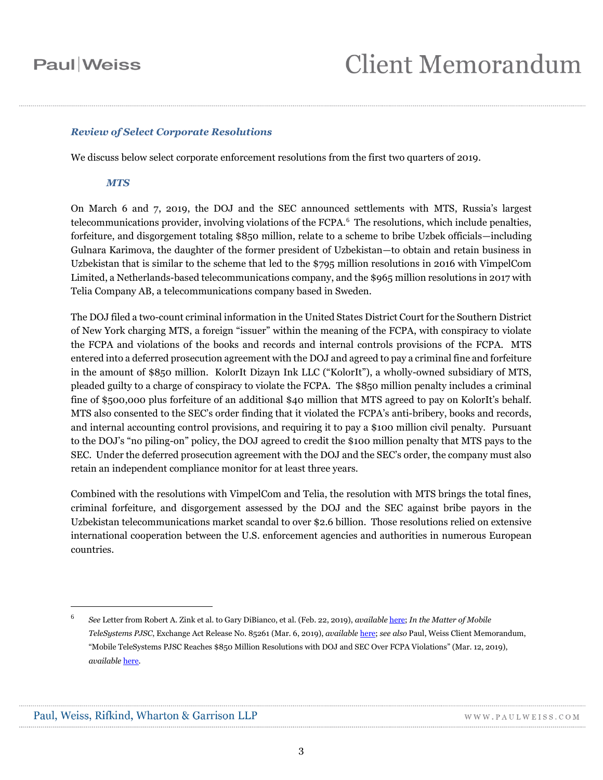# Client Memorandum

#### *Review of Select Corporate Resolutions*

We discuss below select corporate enforcement resolutions from the first two quarters of 2019.

#### *MTS*

On March 6 and 7, 2019, the DOJ and the SEC announced settlements with MTS, Russia's largest telecommunications provider, involving violations of the FCPA.<sup>6</sup> The resolutions, which include penalties, forfeiture, and disgorgement totaling \$850 million, relate to a scheme to bribe Uzbek officials—including Gulnara Karimova, the daughter of the former president of Uzbekistan—to obtain and retain business in Uzbekistan that is similar to the scheme that led to the \$795 million resolutions in 2016 with VimpelCom Limited, a Netherlands-based telecommunications company, and the \$965 million resolutions in 2017 with Telia Company AB, a telecommunications company based in Sweden.

The DOJ filed a two-count criminal information in the United States District Court for the Southern District of New York charging MTS, a foreign "issuer" within the meaning of the FCPA, with conspiracy to violate the FCPA and violations of the books and records and internal controls provisions of the FCPA. MTS entered into a deferred prosecution agreement with the DOJ and agreed to pay a criminal fine and forfeiture in the amount of \$850 million. KolorIt Dizayn Ink LLC ("KolorIt"), a wholly-owned subsidiary of MTS, pleaded guilty to a charge of conspiracy to violate the FCPA. The \$850 million penalty includes a criminal fine of \$500,000 plus forfeiture of an additional \$40 million that MTS agreed to pay on KolorIt's behalf. MTS also consented to the SEC's order finding that it violated the FCPA's anti-bribery, books and records, and internal accounting control provisions, and requiring it to pay a \$100 million civil penalty. Pursuant to the DOJ's "no piling-on" policy, the DOJ agreed to credit the \$100 million penalty that MTS pays to the SEC. Under the deferred prosecution agreement with the DOJ and the SEC's order, the company must also retain an independent compliance monitor for at least three years.

Combined with the resolutions with VimpelCom and Telia, the resolution with MTS brings the total fines, criminal forfeiture, and disgorgement assessed by the DOJ and the SEC against bribe payors in the Uzbekistan telecommunications market scandal to over \$2.6 billion. Those resolutions relied on extensive international cooperation between the U.S. enforcement agencies and authorities in numerous European countries.

<sup>6</sup> *See* Letter from Robert A. Zink et al. to Gary DiBianco, et al. (Feb. 22, 2019), *available* [here;](https://www.justice.gov/opa/press-release/file/1141631/download) *In the Matter of Mobile TeleSystems PJSC*, Exchange Act Release No. 85261 (Mar. 6, 2019), *available* [here;](https://www.sec.gov/litigation/admin/2019/34-85261.pdf) *see also* Paul, Weiss Client Memorandum, "Mobile TeleSystems PJSC Reaches \$850 Million Resolutions with DOJ and SEC Over FCPA Violations" (Mar. 12, 2019), *available* [here.](https://www.paulweiss.com/media/3978492/12mar19-mts-fcpa.pdf)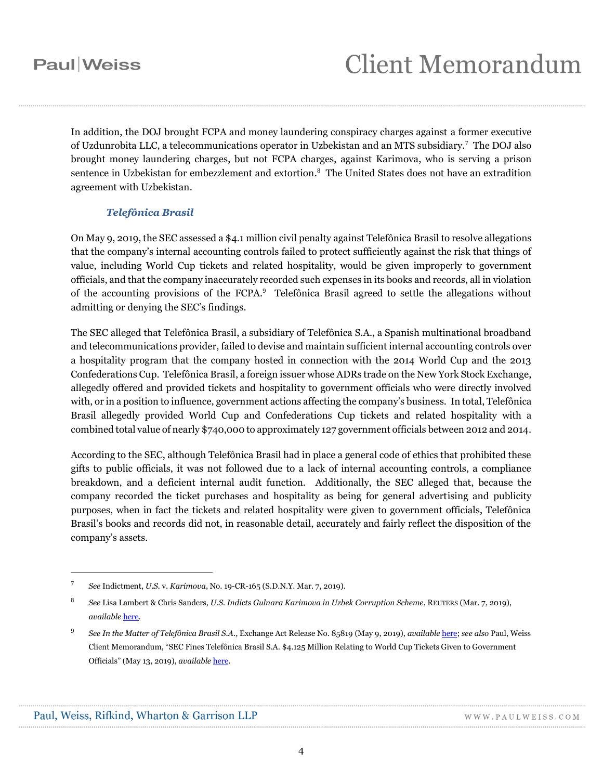In addition, the DOJ brought FCPA and money laundering conspiracy charges against a former executive of Uzdunrobita LLC, a telecommunications operator in Uzbekistan and an MTS subsidiary.<sup>7</sup> The DOJ also brought money laundering charges, but not FCPA charges, against Karimova, who is serving a prison sentence in Uzbekistan for embezzlement and extortion. 8 The United States does not have an extradition agreement with Uzbekistan.

### *Telefônica Brasil*

On May 9, 2019, the SEC assessed a \$4.1 million civil penalty against Telefônica Brasil to resolve allegations that the company's internal accounting controls failed to protect sufficiently against the risk that things of value, including World Cup tickets and related hospitality, would be given improperly to government officials, and that the company inaccurately recorded such expenses in its books and records, all in violation of the accounting provisions of the FCPA.<sup>9</sup> Telefônica Brasil agreed to settle the allegations without admitting or denying the SEC's findings.

The SEC alleged that Telefônica Brasil, a subsidiary of Telefônica S.A., a Spanish multinational broadband and telecommunications provider, failed to devise and maintain sufficient internal accounting controls over a hospitality program that the company hosted in connection with the 2014 World Cup and the 2013 Confederations Cup. Telefônica Brasil, a foreign issuer whose ADRs trade on the New York Stock Exchange, allegedly offered and provided tickets and hospitality to government officials who were directly involved with, or in a position to influence, government actions affecting the company's business. In total, Telefônica Brasil allegedly provided World Cup and Confederations Cup tickets and related hospitality with a combined total value of nearly \$740,000 to approximately 127 government officials between 2012 and 2014.

According to the SEC, although Telefônica Brasil had in place a general code of ethics that prohibited these gifts to public officials, it was not followed due to a lack of internal accounting controls, a compliance breakdown, and a deficient internal audit function. Additionally, the SEC alleged that, because the company recorded the ticket purchases and hospitality as being for general advertising and publicity purposes, when in fact the tickets and related hospitality were given to government officials, Telefônica Brasil's books and records did not, in reasonable detail, accurately and fairly reflect the disposition of the company's assets.

<sup>7</sup> *See* Indictment, *U.S.* v. *Karimova*, No. 19-CR-165 (S.D.N.Y. Mar. 7, 2019).

<sup>8</sup> *See* Lisa Lambert & Chris Sanders, *U.S. Indicts Gulnara Karimova in Uzbek Corruption Scheme*, REUTERS (Mar. 7, 2019), *available* [here.](https://www.reuters.com/article/us-mob-telesystems-usa/u-s-indicts-gulnara-karimova-in-uzbek-corruption-scheme-idUSKCN1QO2GL)

<sup>9</sup> *See In the Matter of Telefônica Brasil S.A.*, Exchange Act Release No. 85819 (May 9, 2019), *available* [here;](https://www.sec.gov/litigation/admin/2019/34-85819.pdf) *see also* Paul, Weiss Client Memorandum, "SEC Fines Telefônica Brasil S.A. \$4.125 Million Relating to World Cup Tickets Given to Government Officials" (May 13, 2019), *available* [here.](https://www.paulweiss.com/media/3978643/13may19-telefonica-brasil.pdf)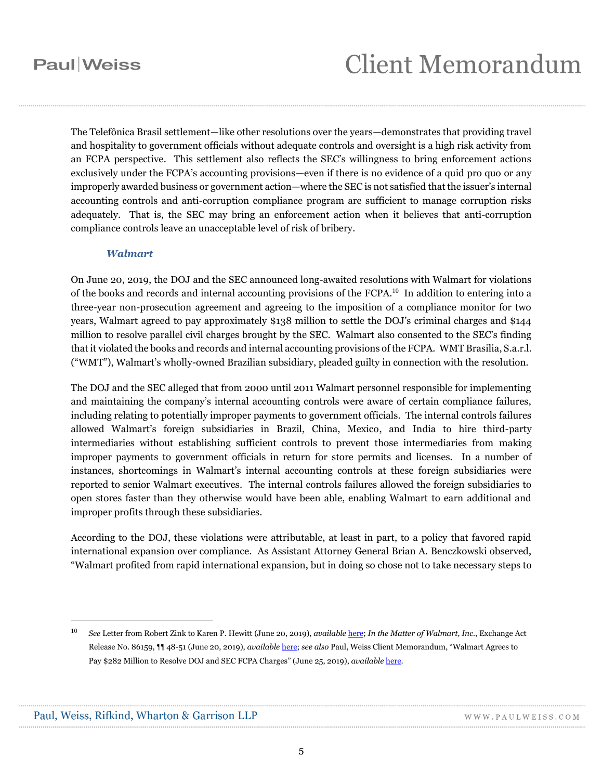# **Client Memorandum**

The Telefônica Brasil settlement—like other resolutions over the years—demonstrates that providing travel and hospitality to government officials without adequate controls and oversight is a high risk activity from an FCPA perspective. This settlement also reflects the SEC's willingness to bring enforcement actions exclusively under the FCPA's accounting provisions—even if there is no evidence of a quid pro quo or any improperly awarded business or government action—where the SEC is not satisfied that the issuer's internal accounting controls and anti-corruption compliance program are sufficient to manage corruption risks adequately. That is, the SEC may bring an enforcement action when it believes that anti-corruption compliance controls leave an unacceptable level of risk of bribery.

#### *Walmart*

On June 20, 2019, the DOJ and the SEC announced long-awaited resolutions with Walmart for violations of the books and records and internal accounting provisions of the FCPA. <sup>10</sup> In addition to entering into a three-year non-prosecution agreement and agreeing to the imposition of a compliance monitor for two years, Walmart agreed to pay approximately \$138 million to settle the DOJ's criminal charges and \$144 million to resolve parallel civil charges brought by the SEC. Walmart also consented to the SEC's finding that it violated the books and records and internal accounting provisions of the FCPA. WMT Brasilia, S.a.r.l. ("WMT"), Walmart's wholly-owned Brazilian subsidiary, pleaded guilty in connection with the resolution.

The DOJ and the SEC alleged that from 2000 until 2011 Walmart personnel responsible for implementing and maintaining the company's internal accounting controls were aware of certain compliance failures, including relating to potentially improper payments to government officials. The internal controls failures allowed Walmart's foreign subsidiaries in Brazil, China, Mexico, and India to hire third-party intermediaries without establishing sufficient controls to prevent those intermediaries from making improper payments to government officials in return for store permits and licenses. In a number of instances, shortcomings in Walmart's internal accounting controls at these foreign subsidiaries were reported to senior Walmart executives. The internal controls failures allowed the foreign subsidiaries to open stores faster than they otherwise would have been able, enabling Walmart to earn additional and improper profits through these subsidiaries.

According to the DOJ, these violations were attributable, at least in part, to a policy that favored rapid international expansion over compliance. As Assistant Attorney General Brian A. Benczkowski observed, "Walmart profited from rapid international expansion, but in doing so chose not to take necessary steps to

<sup>10</sup> *See* Letter from Robert Zink to Karen P. Hewitt (June 20, 2019), *available* [here;](https://www.justice.gov/opa/press-release/file/1175791/download) *In the Matter of Walmart, Inc.*, Exchange Act Release No. 86159, ¶¶ 48-51 (June 20, 2019), *available* [here;](https://www.sec.gov/litigation/admin/2019/34-86159.pdf) *see also* Paul, Weiss Client Memorandum, "Walmart Agrees to Pay \$282 Million to Resolve DOJ and SEC FCPA Charges" (June 25, 2019), *available* [here.](https://www.paulweiss.com/practices/litigation/anti-corruption-fcpa/publications/walmart-pays-282-million-for-failing-to-maintain-a-sufficient-anti-corruption-compliance-program?id=28923)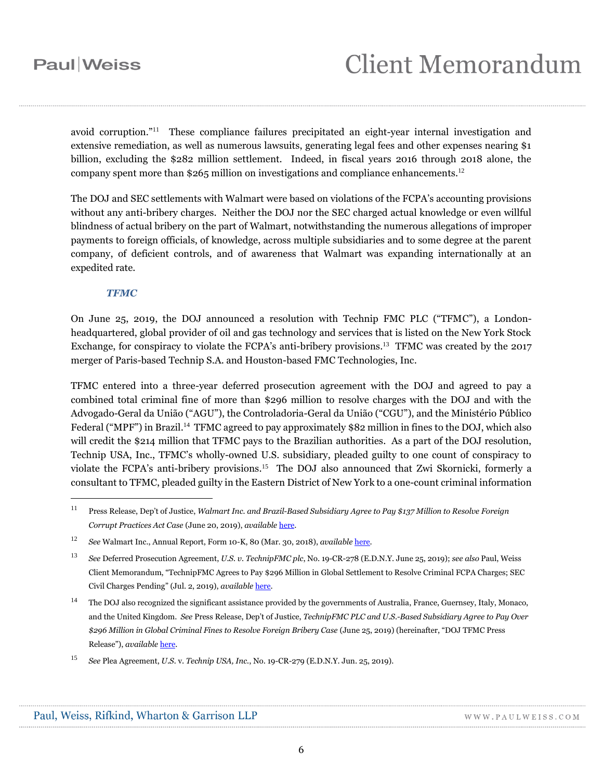avoid corruption."<sup>11</sup> These compliance failures precipitated an eight-year internal investigation and extensive remediation, as well as numerous lawsuits, generating legal fees and other expenses nearing \$1 billion, excluding the \$282 million settlement. Indeed, in fiscal years 2016 through 2018 alone, the company spent more than \$265 million on investigations and compliance enhancements.<sup>12</sup>

The DOJ and SEC settlements with Walmart were based on violations of the FCPA's accounting provisions without any anti-bribery charges. Neither the DOJ nor the SEC charged actual knowledge or even willful blindness of actual bribery on the part of Walmart, notwithstanding the numerous allegations of improper payments to foreign officials, of knowledge, across multiple subsidiaries and to some degree at the parent company, of deficient controls, and of awareness that Walmart was expanding internationally at an expedited rate.

#### *TFMC*

 $\overline{a}$ 

On June 25, 2019, the DOJ announced a resolution with Technip FMC PLC ("TFMC"), a Londonheadquartered, global provider of oil and gas technology and services that is listed on the New York Stock Exchange, for conspiracy to violate the FCPA's anti-bribery provisions.<sup>13</sup> TFMC was created by the 2017 merger of Paris-based Technip S.A. and Houston-based FMC Technologies, Inc.

TFMC entered into a three-year deferred prosecution agreement with the DOJ and agreed to pay a combined total criminal fine of more than \$296 million to resolve charges with the DOJ and with the Advogado-Geral da União ("AGU"), the Controladoria-Geral da União ("CGU"), and the Ministério Público Federal ("MPF") in Brazil.<sup>14</sup> TFMC agreed to pay approximately \$82 million in fines to the DOJ, which also will credit the \$214 million that TFMC pays to the Brazilian authorities. As a part of the DOJ resolution, Technip USA, Inc., TFMC's wholly-owned U.S. subsidiary, pleaded guilty to one count of conspiracy to violate the FCPA's anti-bribery provisions.<sup>15</sup> The DOJ also announced that Zwi Skornicki, formerly a consultant to TFMC, pleaded guilty in the Eastern District of New York to a one-count criminal information

<sup>11</sup> Press Release, Dep't of Justice, *Walmart Inc. and Brazil-Based Subsidiary Agree to Pay \$137 Million to Resolve Foreign Corrupt Practices Act Case* (June 20, 2019), *available* [here.](https://www.justice.gov/opa/pr/walmart-inc-and-brazil-based-subsidiary-agree-pay-137-million-resolve-foreign-corrupt)

<sup>12</sup> *See* Walmart Inc., Annual Report, Form 10-K, 80 (Mar. 30, 2018), *available* [here.](https://s2.q4cdn.com/056532643/files/doc_financials/2018/annual/WMT-2018_Annual-Report.pdf)

<sup>13</sup> *See* Deferred Prosecution Agreement, *U.S. v. TechnipFMC plc*, No. 19-CR-278 (E.D.N.Y. June 25, 2019); *see also* Paul, Weiss Client Memorandum, "TechnipFMC Agrees to Pay \$296 Million in Global Settlement to Resolve Criminal FCPA Charges; SEC Civil Charges Pending" (Jul. 2, 2019), *available* [here.](https://www.paulweiss.com/practices/litigation/anti-corruption-fcpa/publications/technipfmc-agrees-to-pay-296-million-to-doj-and-brazilian-authorities-to-resolve-criminal-fcpa-charges-sec-civil-charges-pending?id=28969)

<sup>14</sup> The DOJ also recognized the significant assistance provided by the governments of Australia, France, Guernsey, Italy, Monaco, and the United Kingdom. *See* Press Release, Dep't of Justice, *TechnipFMC PLC and U.S.-Based Subsidiary Agree to Pay Over \$296 Million in Global Criminal Fines to Resolve Foreign Bribery Case* (June 25, 2019) (hereinafter, "DOJ TFMC Press Release"), *available* [here.](https://www.justice.gov/usao-edny/pr/technipfmc-plc-and-us-based-subsidiary-agree-pay-over-296-million-global-criminal-fines)

<sup>15</sup> *See* Plea Agreement, *U.S.* v. *Technip USA, Inc.*, No. 19-CR-279 (E.D.N.Y. Jun. 25, 2019).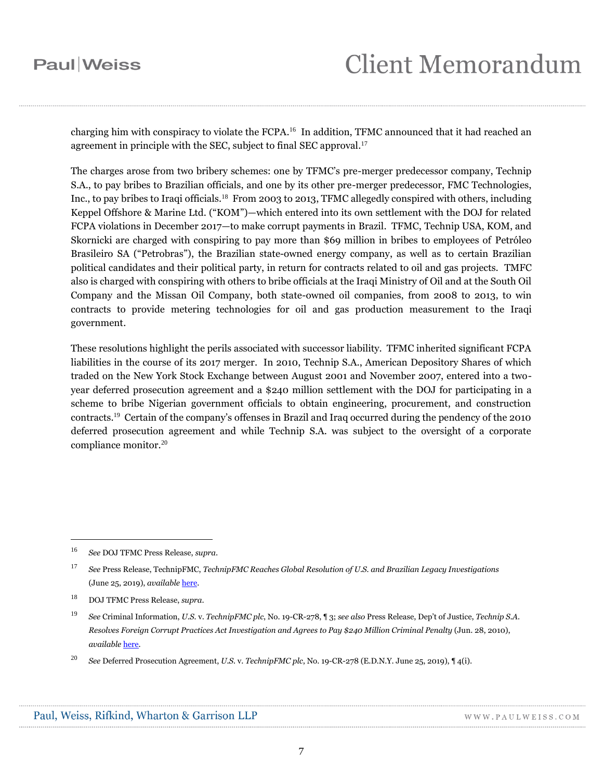charging him with conspiracy to violate the FCPA.<sup>16</sup> In addition, TFMC announced that it had reached an agreement in principle with the SEC, subject to final SEC approval.<sup>17</sup>

The charges arose from two bribery schemes: one by TFMC's pre-merger predecessor company, Technip S.A., to pay bribes to Brazilian officials, and one by its other pre-merger predecessor, FMC Technologies, Inc., to pay bribes to Iraqi officials.<sup>18</sup> From 2003 to 2013, TFMC allegedly conspired with others, including Keppel Offshore & Marine Ltd. ("KOM")—which entered into its own settlement with the DOJ for related FCPA violations in December 2017—to make corrupt payments in Brazil. TFMC, Technip USA, KOM, and Skornicki are charged with conspiring to pay more than \$69 million in bribes to employees of Petróleo Brasileiro SA ("Petrobras"), the Brazilian state-owned energy company, as well as to certain Brazilian political candidates and their political party, in return for contracts related to oil and gas projects. TMFC also is charged with conspiring with others to bribe officials at the Iraqi Ministry of Oil and at the South Oil Company and the Missan Oil Company, both state-owned oil companies, from 2008 to 2013, to win contracts to provide metering technologies for oil and gas production measurement to the Iraqi government.

These resolutions highlight the perils associated with successor liability. TFMC inherited significant FCPA liabilities in the course of its 2017 merger. In 2010, Technip S.A., American Depository Shares of which traded on the New York Stock Exchange between August 2001 and November 2007, entered into a twoyear deferred prosecution agreement and a \$240 million settlement with the DOJ for participating in a scheme to bribe Nigerian government officials to obtain engineering, procurement, and construction contracts. 19 Certain of the company's offenses in Brazil and Iraq occurred during the pendency of the 2010 deferred prosecution agreement and while Technip S.A. was subject to the oversight of a corporate compliance monitor.<sup>20</sup>

<sup>16</sup> *See* DOJ TFMC Press Release, *supra*.

<sup>17</sup> *See* Press Release, TechnipFMC, *TechnipFMC Reaches Global Resolution of U.S. and Brazilian Legacy Investigations* (June 25, 2019), *available* [here.](https://www.technipfmc.com/en/media/press-releases/2019/06/technipfmc-reaches-global-resolution-of-us-and-brazilian-legacy-investigations?type=press-releases)

<sup>18</sup> DOJ TFMC Press Release, *supra*.

<sup>19</sup> *See* Criminal Information, *U.S.* v. *TechnipFMC plc*, No. 19-CR-278, ¶ 3; *see also* Press Release, Dep't of Justice, *Technip S.A. Resolves Foreign Corrupt Practices Act Investigation and Agrees to Pay \$240 Million Criminal Penalty* (Jun. 28, 2010), *available* [here.](https://www.justice.gov/opa/pr/technip-sa-resolves-foreign-corrupt-practices-act-investigation-and-agrees-pay-240-million)

<sup>20</sup> *See* Deferred Prosecution Agreement, *U.S.* v. *TechnipFMC plc*, No. 19-CR-278 (E.D.N.Y. June 25, 2019), ¶ 4(i).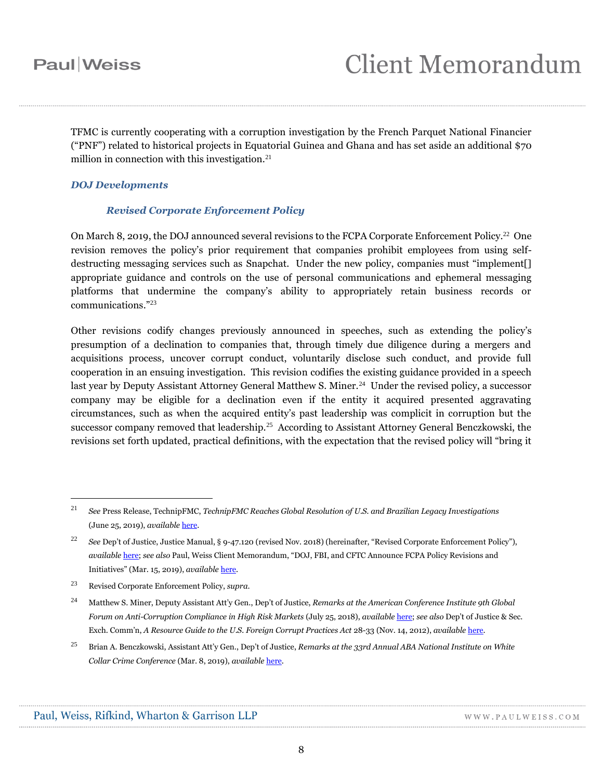TFMC is currently cooperating with a corruption investigation by the French Parquet National Financier ("PNF") related to historical projects in Equatorial Guinea and Ghana and has set aside an additional \$70 million in connection with this investigation.<sup>21</sup>

### *DOJ Developments*

### *Revised Corporate Enforcement Policy*

On March 8, 2019, the DOJ announced several revisions to the FCPA Corporate Enforcement Policy.<sup>22</sup> One revision removes the policy's prior requirement that companies prohibit employees from using selfdestructing messaging services such as Snapchat. Under the new policy, companies must "implement[] appropriate guidance and controls on the use of personal communications and ephemeral messaging platforms that undermine the company's ability to appropriately retain business records or communications."<sup>23</sup>

Other revisions codify changes previously announced in speeches, such as extending the policy's presumption of a declination to companies that, through timely due diligence during a mergers and acquisitions process, uncover corrupt conduct, voluntarily disclose such conduct, and provide full cooperation in an ensuing investigation. This revision codifies the existing guidance provided in a speech last year by Deputy Assistant Attorney General Matthew S. Miner.<sup>24</sup> Under the revised policy, a successor company may be eligible for a declination even if the entity it acquired presented aggravating circumstances, such as when the acquired entity's past leadership was complicit in corruption but the successor company removed that leadership.<sup>25</sup> According to Assistant Attorney General Benczkowski, the revisions set forth updated, practical definitions, with the expectation that the revised policy will "bring it

<sup>21</sup> *See* Press Release, TechnipFMC, *TechnipFMC Reaches Global Resolution of U.S. and Brazilian Legacy Investigations* (June 25, 2019), *available* [here.](https://www.technipfmc.com/en/media/press-releases/2019/06/technipfmc-reaches-global-resolution-of-us-and-brazilian-legacy-investigations?type=press-releases)

<sup>22</sup> *See* Dep't of Justice, Justice Manual, § 9-47.120 (revised Nov. 2018) (hereinafter, "Revised Corporate Enforcement Policy"), *available* [here;](https://www.justice.gov/jm/jm-9-47000-foreign-corrupt-practices-act-1977) *see also* Paul, Weiss Client Memorandum, "DOJ, FBI, and CFTC Announce FCPA Policy Revisions and Initiatives" (Mar. 15, 2019), *available* [here.](https://www.paulweiss.com/practices/litigation/anti-corruption-fcpa/publications/doj-fbi-and-cftc-announce-fcpa-policy-revisions-and-initiatives?id=28422)

<sup>23</sup> Revised Corporate Enforcement Policy, *supra*.

<sup>24</sup> Matthew S. Miner, Deputy Assistant Att'y Gen., Dep't of Justice, *Remarks at the American Conference Institute 9th Global Forum on Anti-Corruption Compliance in High Risk Markets* (July 25, 2018), *available* [here;](https://www.justice.gov/opa/pr/deputy-assistant-attorney-general-matthew-s-miner-remarks-american-conference-institute-9th) *see also* Dep't of Justice & Sec. Exch. Comm'n, *A Resource Guide to the U.S. Foreign Corrupt Practices Act* 28-33 (Nov. 14, 2012), *available* [here.](https://www.justice.gov/sites/default/files/criminal-fraud/legacy/2015/01/16/guide.pdf)

<sup>25</sup> Brian A. Benczkowski, Assistant Att'y Gen., Dep't of Justice, *Remarks at the 33rd Annual ABA National Institute on White Collar Crime Conference* (Mar. 8, 2019), *available* [here.](https://www.justice.gov/opa/speech/assistant-attorney-general-brian-benczkowski-delivers-remarks-33rd-annual-aba-national)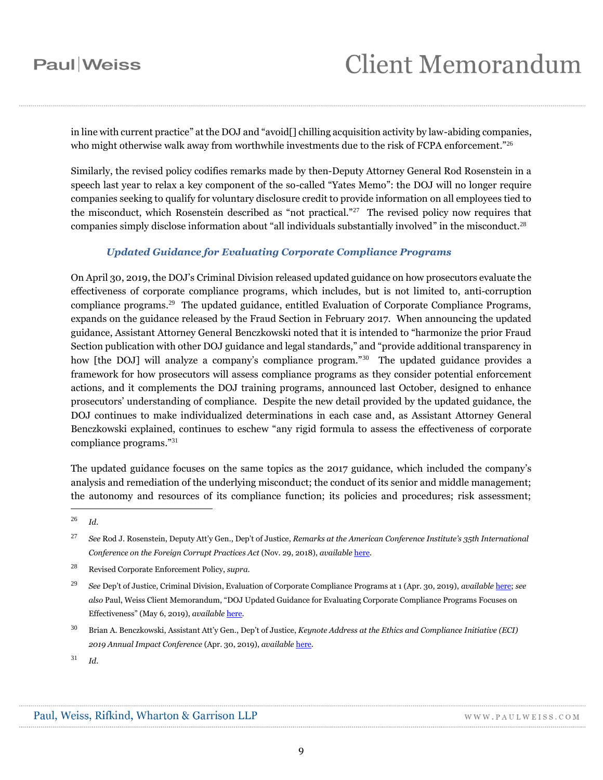in line with current practice" at the DOJ and "avoid[] chilling acquisition activity by law-abiding companies, who might otherwise walk away from worthwhile investments due to the risk of FCPA enforcement."<sup>26</sup>

Similarly, the revised policy codifies remarks made by then-Deputy Attorney General Rod Rosenstein in a speech last year to relax a key component of the so-called "Yates Memo": the DOJ will no longer require companies seeking to qualify for voluntary disclosure credit to provide information on all employees tied to the misconduct, which Rosenstein described as "not practical."<sup>27</sup> The revised policy now requires that companies simply disclose information about "all individuals substantially involved" in the misconduct.<sup>28</sup>

### *Updated Guidance for Evaluating Corporate Compliance Programs*

On April 30, 2019, the DOJ's Criminal Division released updated guidance on how prosecutors evaluate the effectiveness of corporate compliance programs, which includes, but is not limited to, anti-corruption compliance programs.<sup>29</sup> The updated guidance, entitled Evaluation of Corporate Compliance Programs, expands on the guidance released by the Fraud Section in February 2017. When announcing the updated guidance, Assistant Attorney General Benczkowski noted that it is intended to "harmonize the prior Fraud Section publication with other DOJ guidance and legal standards," and "provide additional transparency in how [the DOJ] will analyze a company's compliance program."<sup>30</sup> The updated guidance provides a framework for how prosecutors will assess compliance programs as they consider potential enforcement actions, and it complements the DOJ training programs, announced last October, designed to enhance prosecutors' understanding of compliance. Despite the new detail provided by the updated guidance, the DOJ continues to make individualized determinations in each case and, as Assistant Attorney General Benczkowski explained, continues to eschew "any rigid formula to assess the effectiveness of corporate compliance programs."<sup>31</sup>

The updated guidance focuses on the same topics as the 2017 guidance, which included the company's analysis and remediation of the underlying misconduct; the conduct of its senior and middle management; the autonomy and resources of its compliance function; its policies and procedures; risk assessment;

<sup>26</sup> *Id.*

<sup>27</sup> *See* Rod J. Rosenstein, Deputy Att'y Gen., Dep't of Justice, *Remarks at the American Conference Institute's 35th International Conference on the Foreign Corrupt Practices Act* (Nov. 29, 2018), *available* [here.](https://www.justice.gov/opa/speech/deputy-attorney-general-rod-j-rosenstein-delivers-remarks-american-conference-institute-0)

<sup>28</sup> Revised Corporate Enforcement Policy, *supra*.

<sup>29</sup> *See* Dep't of Justice, Criminal Division, Evaluation of Corporate Compliance Programs at 1 (Apr. 30, 2019), *available* [here;](https://www.justice.gov/criminal-fraud/page/file/937501/download) *see also* Paul, Weiss Client Memorandum, "DOJ Updated Guidance for Evaluating Corporate Compliance Programs Focuses on Effectiveness" (May 6, 2019), *available* [here.](https://www.paulweiss.com/practices/litigation/anti-corruption-fcpa/publications/doj-updated-guidance-for-evaluating-corporate-compliance-programs-focuses-on-effectiveness?id=28693)

<sup>30</sup> Brian A. Benczkowski, Assistant Att'y Gen., Dep't of Justice, *Keynote Address at the Ethics and Compliance Initiative (ECI) 2019 Annual Impact Conference* (Apr. 30, 2019), *available* [here.](https://www.justice.gov/opa/speech/assistant-attorney-general-brian-benczkowski-delivers-keynote-address-ethics-and)

<sup>31</sup> *Id.*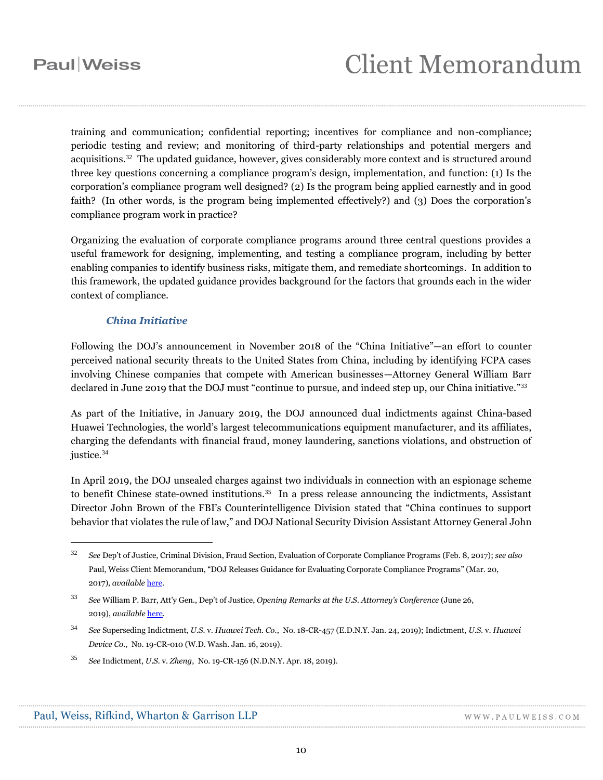training and communication; confidential reporting; incentives for compliance and non-compliance; periodic testing and review; and monitoring of third-party relationships and potential mergers and acquisitions.<sup>32</sup> The updated guidance, however, gives considerably more context and is structured around three key questions concerning a compliance program's design, implementation, and function: (1) Is the corporation's compliance program well designed? (2) Is the program being applied earnestly and in good faith? (In other words, is the program being implemented effectively?) and (3) Does the corporation's compliance program work in practice?

Organizing the evaluation of corporate compliance programs around three central questions provides a useful framework for designing, implementing, and testing a compliance program, including by better enabling companies to identify business risks, mitigate them, and remediate shortcomings. In addition to this framework, the updated guidance provides background for the factors that grounds each in the wider context of compliance.

### *China Initiative*

Following the DOJ's announcement in November 2018 of the "China Initiative"—an effort to counter perceived national security threats to the United States from China, including by identifying FCPA cases involving Chinese companies that compete with American businesses—Attorney General William Barr declared in June 2019 that the DOJ must "continue to pursue, and indeed step up, our China initiative."<sup>33</sup>

As part of the Initiative, in January 2019, the DOJ announced dual indictments against China-based Huawei Technologies, the world's largest telecommunications equipment manufacturer, and its affiliates, charging the defendants with financial fraud, money laundering, sanctions violations, and obstruction of justice. 34

In April 2019, the DOJ unsealed charges against two individuals in connection with an espionage scheme to benefit Chinese state-owned institutions.<sup>35</sup> In a press release announcing the indictments, Assistant Director John Brown of the FBI's Counterintelligence Division stated that "China continues to support behavior that violates the rule of law," and DOJ National Security Division Assistant Attorney General John

<sup>35</sup> *See* Indictment, *U.S.* v. *Zheng*, No. 19-CR-156 (N.D.N.Y. Apr. 18, 2019).

<sup>32</sup> *See* Dep't of Justice, Criminal Division, Fraud Section, Evaluation of Corporate Compliance Programs (Feb. 8, 2017); *see also*  Paul, Weiss Client Memorandum, "DOJ Releases Guidance for Evaluating Corporate Compliance Programs" (Mar. 20, 2017), *available* [here.](https://www.paulweiss.com/media/3977003/20mar17doj.pdf)

<sup>33</sup> *See* William P. Barr, Att'y Gen., Dep't of Justice, *Opening Remarks at the U.S. Attorney's Conference* (June 26, 2019), *available* [here.](https://www.justice.gov/opa/speech/attorney-general-william-p-barr-delivers-opening-remarks-us-attorneys-conference)

<sup>34</sup> *See* Superseding Indictment, *U.S.* v. *Huawei Tech. Co.*, No. 18-CR-457 (E.D.N.Y. Jan. 24, 2019); Indictment, *U.S.* v. *Huawei Device Co.*, No. 19-CR-010 (W.D. Wash. Jan. 16, 2019).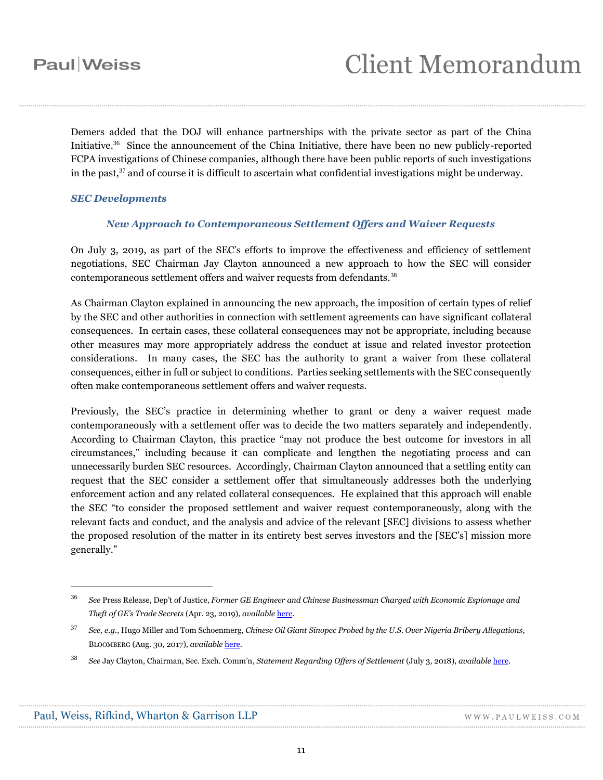Demers added that the DOJ will enhance partnerships with the private sector as part of the China Initiative. 36 Since the announcement of the China Initiative, there have been no new publicly-reported FCPA investigations of Chinese companies, although there have been public reports of such investigations in the past,<sup>37</sup> and of course it is difficult to ascertain what confidential investigations might be underway.

### *SEC Developments*

### *New Approach to Contemporaneous Settlement Offers and Waiver Requests*

On July 3, 2019, as part of the SEC's efforts to improve the effectiveness and efficiency of settlement negotiations, SEC Chairman Jay Clayton announced a new approach to how the SEC will consider contemporaneous settlement offers and waiver requests from defendants.<sup>38</sup>

As Chairman Clayton explained in announcing the new approach, the imposition of certain types of relief by the SEC and other authorities in connection with settlement agreements can have significant collateral consequences. In certain cases, these collateral consequences may not be appropriate, including because other measures may more appropriately address the conduct at issue and related investor protection considerations. In many cases, the SEC has the authority to grant a waiver from these collateral consequences, either in full or subject to conditions. Parties seeking settlements with the SEC consequently often make contemporaneous settlement offers and waiver requests.

Previously, the SEC's practice in determining whether to grant or deny a waiver request made contemporaneously with a settlement offer was to decide the two matters separately and independently. According to Chairman Clayton, this practice "may not produce the best outcome for investors in all circumstances," including because it can complicate and lengthen the negotiating process and can unnecessarily burden SEC resources. Accordingly, Chairman Clayton announced that a settling entity can request that the SEC consider a settlement offer that simultaneously addresses both the underlying enforcement action and any related collateral consequences. He explained that this approach will enable the SEC "to consider the proposed settlement and waiver request contemporaneously, along with the relevant facts and conduct, and the analysis and advice of the relevant [SEC] divisions to assess whether the proposed resolution of the matter in its entirety best serves investors and the [SEC's] mission more generally."

<sup>36</sup> *See* Press Release, Dep't of Justice, *Former GE Engineer and Chinese Businessman Charged with Economic Espionage and Theft of GE's Trade Secrets* (Apr. 23, 2019), *available* [here.](https://www.justice.gov/opa/pr/former-ge-engineer-and-chinese-businessman-charged-economic-espionage-and-theft-ge-s-trade)

<sup>37</sup> *See, e.g.*, Hugo Miller and Tom Schoenmerg, *Chinese Oil Giant Sinopec Probed by the U.S. Over Nigeria Bribery Allegations*, BLOOMBERG (Aug. 30, 2017), *available* [here.](https://www.bloomberg.com/news/articles/2017-08-30/sinopec-is-said-to-be-probed-by-u-s-over-nigeria-payments)

<sup>38</sup> *See* Jay Clayton, Chairman, Sec. Exch. Comm'n, *Statement Regarding Offers of Settlement* (July 3, 2018), *available* [here.](https://www.sec.gov/news/public-statement/clayton-statement-regarding-offers-settlement)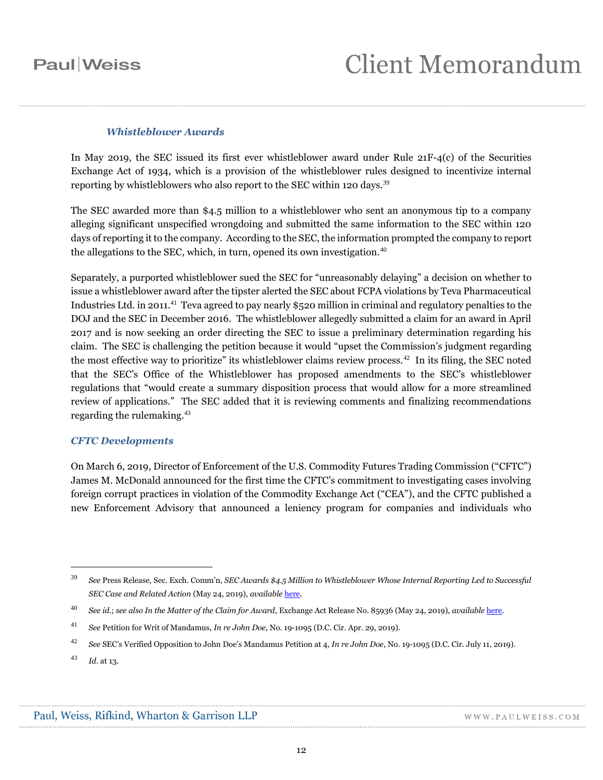### *Whistleblower Awards*

In May 2019, the SEC issued its first ever whistleblower award under Rule  $21F-4(c)$  of the Securities Exchange Act of 1934, which is a provision of the whistleblower rules designed to incentivize internal reporting by whistleblowers who also report to the SEC within 120 days.<sup>39</sup>

The SEC awarded more than \$4.5 million to a whistleblower who sent an anonymous tip to a company alleging significant unspecified wrongdoing and submitted the same information to the SEC within 120 days of reporting it to the company. According to the SEC, the information prompted the company to report the allegations to the SEC, which, in turn, opened its own investigation. $40$ 

Separately, a purported whistleblower sued the SEC for "unreasonably delaying" a decision on whether to issue a whistleblower award after the tipster alerted the SEC about FCPA violations by Teva Pharmaceutical Industries Ltd. in 2011. $^{41}$  Teva agreed to pay nearly \$520 million in criminal and regulatory penalties to the DOJ and the SEC in December 2016. The whistleblower allegedly submitted a claim for an award in April 2017 and is now seeking an order directing the SEC to issue a preliminary determination regarding his claim. The SEC is challenging the petition because it would "upset the Commission's judgment regarding the most effective way to prioritize" its whistleblower claims review process.<sup>42</sup> In its filing, the SEC noted that the SEC's Office of the Whistleblower has proposed amendments to the SEC's whistleblower regulations that "would create a summary disposition process that would allow for a more streamlined review of applications." The SEC added that it is reviewing comments and finalizing recommendations regarding the rulemaking.<sup>43</sup>

### *CFTC Developments*

On March 6, 2019, Director of Enforcement of the U.S. Commodity Futures Trading Commission ("CFTC") James M. McDonald announced for the first time the CFTC's commitment to investigating cases involving foreign corrupt practices in violation of the Commodity Exchange Act ("CEA"), and the CFTC published a new Enforcement Advisory that announced a leniency program for companies and individuals who

<sup>39</sup> *See* Press Release, Sec. Exch. Comm'n, *SEC Awards \$4.5 Million to Whistleblower Whose Internal Reporting Led to Successful SEC Case and Related Action* (May 24, 2019), *available* [here.](https://www.sec.gov/news/press-release/2019-76)

<sup>40</sup> *See id.*; *see also In the Matter of the Claim for Award*, Exchange Act Release No. 85936 (May 24, 2019), *available* [here.](https://www.sec.gov/rules/other/2019/34-85936.pdf)

<sup>41</sup> *See* Petition for Writ of Mandamus, *In re John Doe*, No. 19-1095 (D.C. Cir. Apr. 29, 2019).

<sup>42</sup> *See* SEC's Verified Opposition to John Doe's Mandamus Petition at 4, *In re John Doe*, No. 19-1095 (D.C. Cir. July 11, 2019).

<sup>43</sup> *Id.* at 13.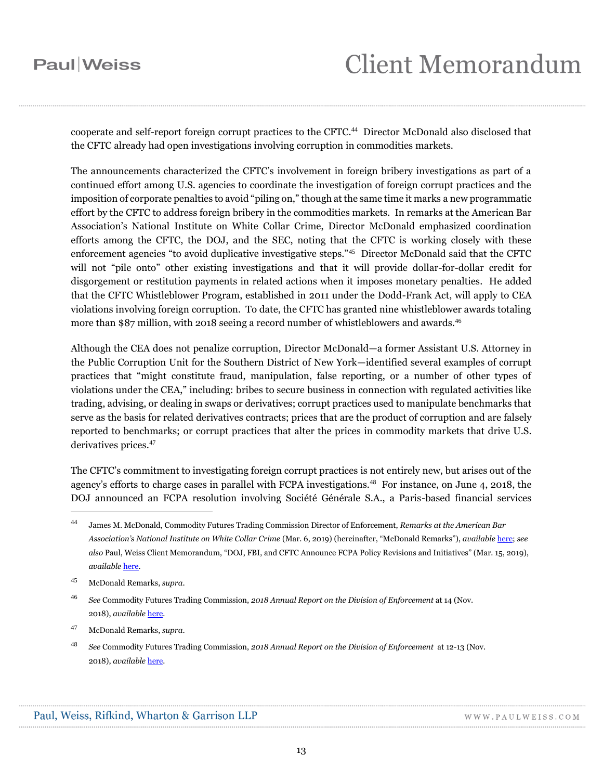# Client Memorandum

cooperate and self-report foreign corrupt practices to the CFTC. <sup>44</sup> Director McDonald also disclosed that the CFTC already had open investigations involving corruption in commodities markets.

The announcements characterized the CFTC's involvement in foreign bribery investigations as part of a continued effort among U.S. agencies to coordinate the investigation of foreign corrupt practices and the imposition of corporate penalties to avoid "piling on," though at the same time it marks a new programmatic effort by the CFTC to address foreign bribery in the commodities markets. In remarks at the American Bar Association's National Institute on White Collar Crime, Director McDonald emphasized coordination efforts among the CFTC, the DOJ, and the SEC, noting that the CFTC is working closely with these enforcement agencies "to avoid duplicative investigative steps."<sup>45</sup> Director McDonald said that the CFTC will not "pile onto" other existing investigations and that it will provide dollar-for-dollar credit for disgorgement or restitution payments in related actions when it imposes monetary penalties. He added that the CFTC Whistleblower Program, established in 2011 under the Dodd-Frank Act, will apply to CEA violations involving foreign corruption. To date, the CFTC has granted nine whistleblower awards totaling more than \$87 million, with 2018 seeing a record number of whistleblowers and awards.<sup>46</sup>

Although the CEA does not penalize corruption, Director McDonald—a former Assistant U.S. Attorney in the Public Corruption Unit for the Southern District of New York—identified several examples of corrupt practices that "might constitute fraud, manipulation, false reporting, or a number of other types of violations under the CEA," including: bribes to secure business in connection with regulated activities like trading, advising, or dealing in swaps or derivatives; corrupt practices used to manipulate benchmarks that serve as the basis for related derivatives contracts; prices that are the product of corruption and are falsely reported to benchmarks; or corrupt practices that alter the prices in commodity markets that drive U.S. derivatives prices.<sup>47</sup>

The CFTC's commitment to investigating foreign corrupt practices is not entirely new, but arises out of the agency's efforts to charge cases in parallel with FCPA investigations.<sup>48</sup> For instance, on June 4, 2018, the DOJ announced an FCPA resolution involving Société Générale S.A., a Paris-based financial services

<sup>44</sup> James M. McDonald, Commodity Futures Trading Commission Director of Enforcement, *Remarks at the American Bar Association's National Institute on White Collar Crime* (Mar. 6, 2019) (hereinafter, "McDonald Remarks"), *available* [here;](https://www.cftc.gov/PressRoom/SpeechesTestimony/opamcdonald2) *see also* Paul, Weiss Client Memorandum, "DOJ, FBI, and CFTC Announce FCPA Policy Revisions and Initiatives" (Mar. 15, 2019), *available* [here.](https://www.paulweiss.com/practices/litigation/anti-corruption-fcpa/publications/doj-fbi-and-cftc-announce-fcpa-policy-revisions-and-initiatives?id=28422) 

<sup>45</sup> McDonald Remarks, *supra*.

<sup>46</sup> *See* Commodity Futures Trading Commission, *2018 Annual Report on the Division of Enforcement* at 14 (Nov. 2018), *available* [here.](https://www.cftc.gov/sites/default/files/2018-11/ENFAnnualReport111418_0.pdf)

<sup>47</sup> McDonald Remarks, *supra*.

<sup>48</sup> *See* Commodity Futures Trading Commission, *2018 Annual Report on the Division of Enforcement* at 12-13 (Nov. 2018), *available* [here.](https://www.cftc.gov/sites/default/files/2018-11/ENFAnnualReport111418_0.pdf)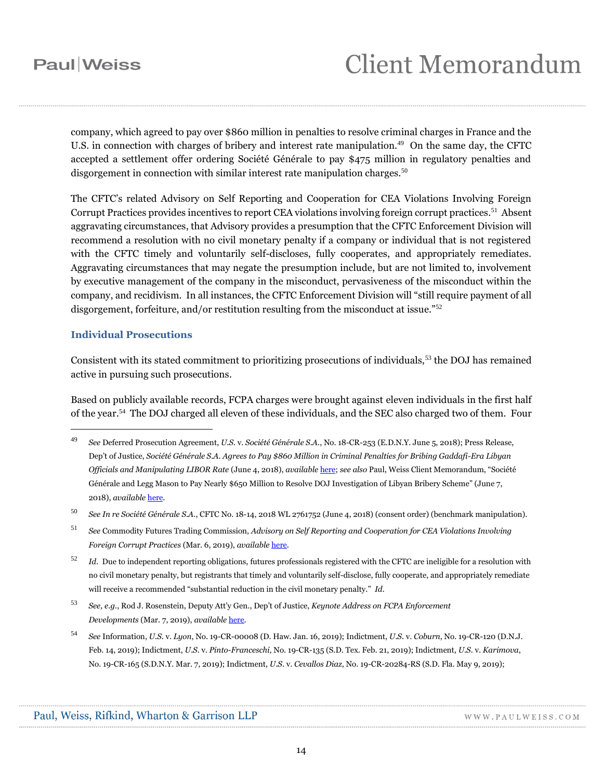# **Client Memorandum**

company, which agreed to pay over \$860 million in penalties to resolve criminal charges in France and the U.S. in connection with charges of bribery and interest rate manipulation.<sup>49</sup> On the same day, the CFTC accepted a settlement offer ordering Société Générale to pay \$475 million in regulatory penalties and disgorgement in connection with similar interest rate manipulation charges. $50$ 

The CFTC's related Advisory on Self Reporting and Cooperation for CEA Violations Involving Foreign Corrupt Practices provides incentives to report CEA violations involving foreign corrupt practices.<sup>51</sup> Absent aggravating circumstances, that Advisory provides a presumption that the CFTC Enforcement Division will recommend a resolution with no civil monetary penalty if a company or individual that is not registered with the CFTC timely and voluntarily self-discloses, fully cooperates, and appropriately remediates. Aggravating circumstances that may negate the presumption include, but are not limited to, involvement by executive management of the company in the misconduct, pervasiveness of the misconduct within the company, and recidivism. In all instances, the CFTC Enforcement Division will "still require payment of all disgorgement, forfeiture, and/or restitution resulting from the misconduct at issue."<sup>52</sup>

### **Individual Prosecutions**

 $\overline{a}$ 

Consistent with its stated commitment to prioritizing prosecutions of individuals,<sup>53</sup> the DOJ has remained active in pursuing such prosecutions.

Based on publicly available records, FCPA charges were brought against eleven individuals in the first half of the year.<sup>54</sup> The DOJ charged all eleven of these individuals, and the SEC also charged two of them. Four

<sup>50</sup> *See In re Société Générale S.A.*, CFTC No. 18-14, 2018 WL 2761752 (June 4, 2018) (consent order) (benchmark manipulation).

<sup>49</sup> *See* Deferred Prosecution Agreement, *U.S.* v. *Société Générale S.A.*, No. 18-CR-253 (E.D.N.Y. June 5, 2018); Press Release, Dep't of Justice, *Société Générale S.A. Agrees to Pay \$860 Million in Criminal Penalties for Bribing Gaddafi-Era Libyan Officials and Manipulating LIBOR Rate* (June 4, 2018), *available* [here;](https://www.justice.gov/opa/pr/soci-t-g-n-rale-sa-agrees-pay-860-million-criminal-penalties-bribing-gaddafi-era-libyan) *see also* Paul, Weiss Client Memorandum, "Société Générale and Legg Mason to Pay Nearly \$650 Million to Resolve DOJ Investigation of Libyan Bribery Scheme" (June 7, 2018), *available* [here.](https://www.paulweiss.com/media/3977841/7jun18-socgen.pdf)

<sup>51</sup> *See* Commodity Futures Trading Commission, *Advisory on Self Reporting and Cooperation for CEA Violations Involving Foreign Corrupt Practices* (Mar. 6, 2019), *available* [here.](https://www.cftc.gov/sites/default/files/2019-03/enfadvisoryselfreporting030619.pdf)

<sup>52</sup> *Id.* Due to independent reporting obligations, futures professionals registered with the CFTC are ineligible for a resolution with no civil monetary penalty, but registrants that timely and voluntarily self-disclose, fully cooperate, and appropriately remediate will receive a recommended "substantial reduction in the civil monetary penalty." *Id.*

<sup>53</sup> *See, e.g.*, Rod J. Rosenstein, Deputy Att'y Gen., Dep't of Justice, *Keynote Address on FCPA Enforcement Developments* (Mar. 7, 2019), *available* [here.](https://www.justice.gov/opa/speech/deputy-attorney-general-rod-j-rosenstein-delivers-keynote-address-fcpa-enforcement)

<sup>54</sup> *See* Information, *U.S.* v. *Lyon*, No. 19-CR-00008 (D. Haw. Jan. 16, 2019); Indictment, *U.S.* v. *Coburn*, No. 19-CR-120 (D.N.J. Feb. 14, 2019); Indictment, *U.S.* v. *Pinto-Franceschi*, No. 19-CR-135 (S.D. Tex. Feb. 21, 2019); Indictment, *U.S.* v. *Karimova*, No. 19-CR-165 (S.D.N.Y. Mar. 7, 2019); Indictment, *U.S.* v. *Cevallos Diaz*, No. 19-CR-20284-RS (S.D. Fla. May 9, 2019);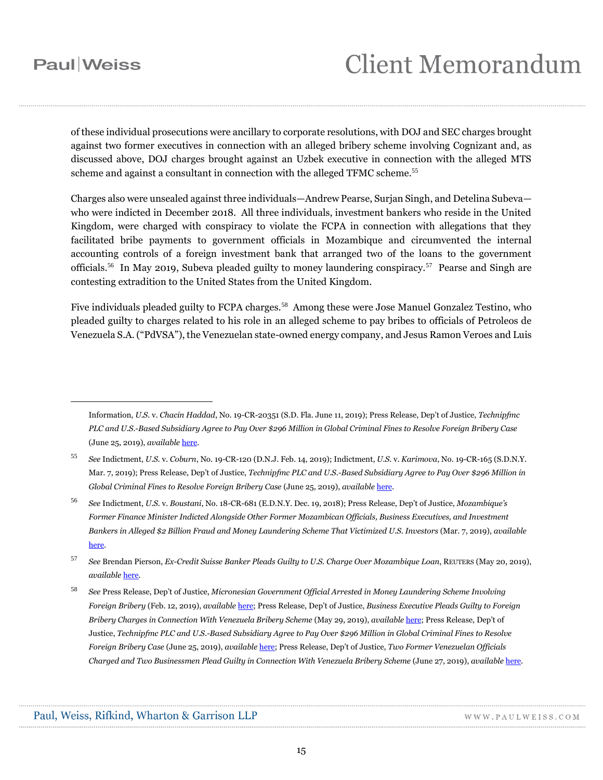$\overline{a}$ 

## **Client Memorandum**

of these individual prosecutions were ancillary to corporate resolutions, with DOJ and SEC charges brought against two former executives in connection with an alleged bribery scheme involving Cognizant and, as discussed above, DOJ charges brought against an Uzbek executive in connection with the alleged MTS scheme and against a consultant in connection with the alleged TFMC scheme.<sup>55</sup>

Charges also were unsealed against three individuals—Andrew Pearse, Surjan Singh, and Detelina Subeva who were indicted in December 2018. All three individuals, investment bankers who reside in the United Kingdom, were charged with conspiracy to violate the FCPA in connection with allegations that they facilitated bribe payments to government officials in Mozambique and circumvented the internal accounting controls of a foreign investment bank that arranged two of the loans to the government officials.<sup>56</sup> In May 2019, Subeva pleaded guilty to money laundering conspiracy.<sup>57</sup> Pearse and Singh are contesting extradition to the United States from the United Kingdom.

Five individuals pleaded guilty to FCPA charges.<sup>58</sup> Among these were Jose Manuel Gonzalez Testino, who pleaded guilty to charges related to his role in an alleged scheme to pay bribes to officials of Petroleos de Venezuela S.A. ("PdVSA"), the Venezuelan state-owned energy company, and Jesus Ramon Veroes and Luis

<sup>57</sup> *See* Brendan Pierson, *Ex-Credit Suisse Banker Pleads Guilty to U.S. Charge Over Mozambique Loan*, REUTERS (May 20, 2019), *available* [here.](https://www.reuters.com/article/us-mozambique-credit-suisse-charges/ex-credit-suisse-banker-pleads-guilty-to-u-s-charge-over-mozambique-loan-idUSKCN1SQ2E1)

WWW.PAULWEISS.COM

Information, *U.S.* v. *Chacin Haddad*, No. 19-CR-20351 (S.D. Fla. June 11, 2019); Press Release, Dep't of Justice, *Technipfmc PLC and U.S.-Based Subsidiary Agree to Pay Over \$296 Million in Global Criminal Fines to Resolve Foreign Bribery Case* (June 25, 2019), *available* [here.](https://www.justice.gov/usao-edny/pr/technipfmc-plc-and-us-based-subsidiary-agree-pay-over-296-million-global-criminal-fines)

<sup>55</sup> *See* Indictment, *U.S.* v. *Coburn*, No. 19-CR-120 (D.N.J. Feb. 14, 2019); Indictment, *U.S.* v. *Karimova*, No. 19-CR-165 (S.D.N.Y. Mar. 7, 2019); Press Release, Dep't of Justice, *Technipfmc PLC and U.S.-Based Subsidiary Agree to Pay Over \$296 Million in Global Criminal Fines to Resolve Foreign Bribery Case* (June 25, 2019), *available* [here.](https://www.justice.gov/usao-edny/pr/technipfmc-plc-and-us-based-subsidiary-agree-pay-over-296-million-global-criminal-fines)

<sup>56</sup> *See* Indictment, *U.S.* v. *Boustani*, No. 18-CR-681 (E.D.N.Y. Dec. 19, 2018); Press Release, Dep't of Justice, *Mozambique's Former Finance Minister Indicted Alongside Other Former Mozambican Officials, Business Executives, and Investment Bankers in Alleged \$2 Billion Fraud and Money Laundering Scheme That Victimized U.S. Investors* (Mar. 7, 2019), *available* [here.](https://www.justice.gov/opa/pr/mozambique-s-former-finance-minister-indicted-alongside-other-former-mozambican-officials)

<sup>58</sup> *See* Press Release, Dep't of Justice, *Micronesian Government Official Arrested in Money Laundering Scheme Involving Foreign Bribery* (Feb. 12, 2019), *available* [here;](https://www.justice.gov/opa/pr/micronesian-government-official-arrested-money-laundering-scheme-involving-foreign-bribery) Press Release, Dep't of Justice, *Business Executive Pleads Guilty to Foreign Bribery Charges in Connection With Venezuela Bribery Scheme* (May 29, 2019), *available* [here;](https://www.justice.gov/opa/pr/business-executive-pleads-guilty-foreign-bribery-charges-connection-venezuela-bribery-scheme) Press Release, Dep't of Justice, *Technipfmc PLC and U.S.-Based Subsidiary Agree to Pay Over \$296 Million in Global Criminal Fines to Resolve Foreign Bribery Case* (June 25, 2019), *available* [here;](https://www.justice.gov/usao-edny/pr/technipfmc-plc-and-us-based-subsidiary-agree-pay-over-296-million-global-criminal-fines) Press Release, Dep't of Justice, *Two Former Venezuelan Officials Charged and Two Businessmen Plead Guilty in Connection With Venezuela Bribery Scheme* (June 27, 2019), *available* [here.](https://www.justice.gov/opa/pr/two-former-venezuelan-officials-charged-and-two-businessmen-plead-guilty-connection-venezuela)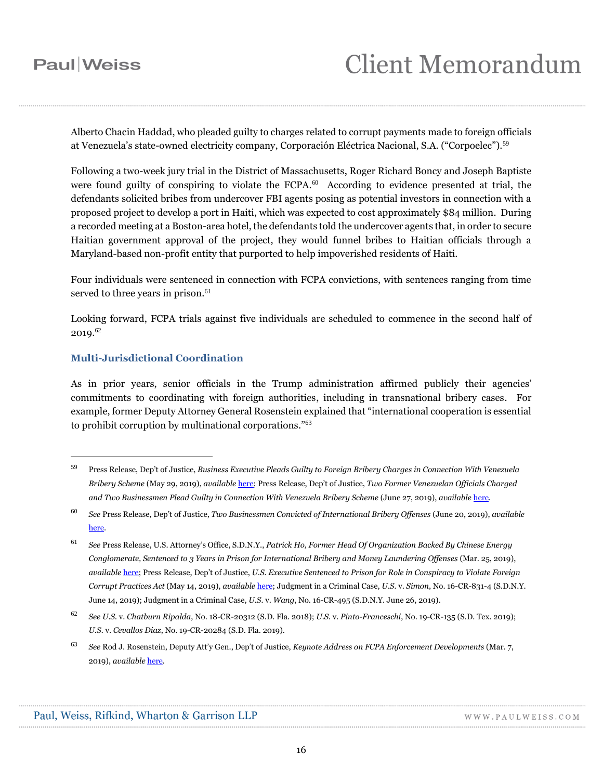# **Client Memorandum**

Alberto Chacin Haddad, who pleaded guilty to charges related to corrupt payments made to foreign officials at Venezuela's state-owned electricity company, Corporación Eléctrica Nacional, S.A. ("Corpoelec").<sup>59</sup>

Following a two-week jury trial in the District of Massachusetts, Roger Richard Boncy and Joseph Baptiste were found guilty of conspiring to violate the FCPA.<sup>60</sup> According to evidence presented at trial, the defendants solicited bribes from undercover FBI agents posing as potential investors in connection with a proposed project to develop a port in Haiti, which was expected to cost approximately \$84 million. During a recorded meeting at a Boston-area hotel, the defendants told the undercover agents that, in order to secure Haitian government approval of the project, they would funnel bribes to Haitian officials through a Maryland-based non-profit entity that purported to help impoverished residents of Haiti.

Four individuals were sentenced in connection with FCPA convictions, with sentences ranging from time served to three years in prison.<sup>61</sup>

Looking forward, FCPA trials against five individuals are scheduled to commence in the second half of  $2019.^{62}$ 

### **Multi-Jurisdictional Coordination**

As in prior years, senior officials in the Trump administration affirmed publicly their agencies' commitments to coordinating with foreign authorities, including in transnational bribery cases. For example, former Deputy Attorney General Rosenstein explained that "international cooperation is essential to prohibit corruption by multinational corporations." 63

<sup>59</sup> Press Release, Dep't of Justice, *Business Executive Pleads Guilty to Foreign Bribery Charges in Connection With Venezuela Bribery Scheme* (May 29, 2019), *available* [here;](https://www.justice.gov/opa/pr/business-executive-pleads-guilty-foreign-bribery-charges-connection-venezuela-bribery-scheme) Press Release, Dep't of Justice, *Two Former Venezuelan Officials Charged and Two Businessmen Plead Guilty in Connection With Venezuela Bribery Scheme* (June 27, 2019), *available* [here.](https://www.justice.gov/opa/pr/two-former-venezuelan-officials-charged-and-two-businessmen-plead-guilty-connection-venezuela)

<sup>60</sup> *See* Press Release, Dep't of Justice, *Two Businessmen Convicted of International Bribery Offenses* (June 20, 2019), *available* [here.](https://www.justice.gov/opa/pr/two-businessmen-convicted-international-bribery-offenses-0)

<sup>61</sup> *See* Press Release, U.S. Attorney's Office, S.D.N.Y., *Patrick Ho, Former Head Of Organization Backed By Chinese Energy Conglomerate, Sentenced to 3 Years in Prison for International Bribery and Money Laundering Offenses* (Mar. 25, 2019), *available* [here;](https://www.justice.gov/usao-sdny/pr/patrick-ho-former-head-organization-backed-chinese-energy-conglomerate-sentenced-3) Press Release, Dep't of Justice, *U.S. Executive Sentenced to Prison for Role in Conspiracy to Violate Foreign Corrupt Practices Act* (May 14, 2019), *available* [here;](https://www.justice.gov/opa/pr/us-executive-sentenced-prison-role-conspiracy-violate-foreign-corrupt-practices-act) Judgment in a Criminal Case, *U.S.* v. *Simon*, No. 16-CR-831-4 (S.D.N.Y. June 14, 2019); Judgment in a Criminal Case, *U.S.* v. *Wang*, No. 16-CR-495 (S.D.N.Y. June 26, 2019).

<sup>62</sup> *See U.S.* v. *Chatburn Ripalda*, No. 18-CR-20312 (S.D. Fla. 2018); *U.S.* v. *Pinto-Franceschi*, No. 19-CR-135 (S.D. Tex. 2019); *U.S.* v. *Cevallos Diaz*, No. 19-CR-20284 (S.D. Fla. 2019).

<sup>63</sup> *See* Rod J. Rosenstein, Deputy Att'y Gen., Dep't of Justice, *Keynote Address on FCPA Enforcement Developments* (Mar. 7, 2019), *available* [here.](https://www.justice.gov/opa/speech/deputy-attorney-general-rod-j-rosenstein-delivers-keynote-address-fcpa-enforcement)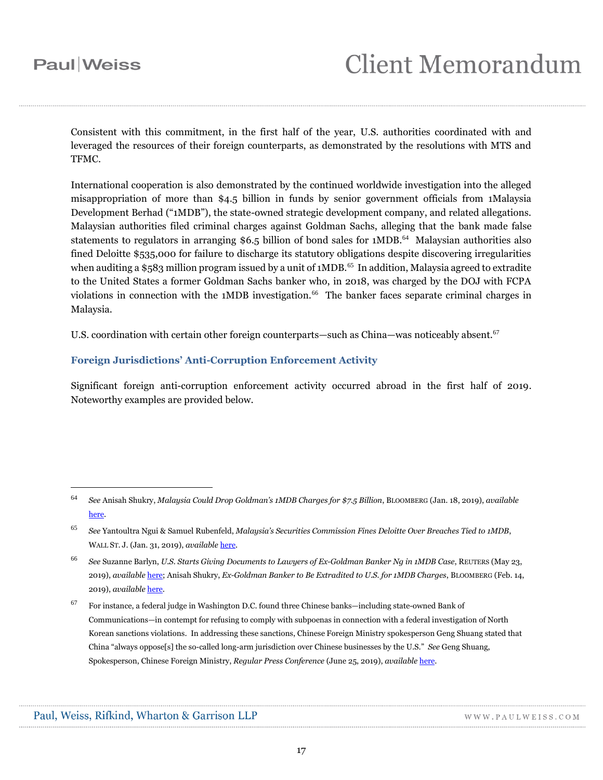# **Client Memorandum**

Consistent with this commitment, in the first half of the year, U.S. authorities coordinated with and leveraged the resources of their foreign counterparts, as demonstrated by the resolutions with MTS and TFMC.

International cooperation is also demonstrated by the continued worldwide investigation into the alleged misappropriation of more than \$4.5 billion in funds by senior government officials from 1Malaysia Development Berhad ("1MDB"), the state-owned strategic development company, and related allegations. Malaysian authorities filed criminal charges against Goldman Sachs, alleging that the bank made false statements to regulators in arranging \$6.5 billion of bond sales for 1MDB.<sup>64</sup> Malaysian authorities also fined Deloitte \$535,000 for failure to discharge its statutory obligations despite discovering irregularities when auditing a \$583 million program issued by a unit of 1MDB. $^{65}$  In addition, Malaysia agreed to extradite to the United States a former Goldman Sachs banker who, in 2018, was charged by the DOJ with FCPA violations in connection with the 1MDB investigation.<sup>66</sup> The banker faces separate criminal charges in Malaysia.

U.S. coordination with certain other foreign counterparts—such as China—was noticeably absent.<sup>67</sup>

### **Foreign Jurisdictions' Anti-Corruption Enforcement Activity**

Significant foreign anti-corruption enforcement activity occurred abroad in the first half of 2019. Noteworthy examples are provided below.

<sup>64</sup> *See* Anisah Shukry, *Malaysia Could Drop Goldman's 1MDB Charges for \$7.5 Billion*, BLOOMBERG (Jan. 18, 2019), *available* [here.](https://www.bloomberg.com/news/articles/2019-01-18/malaysia-may-discuss-dropping-goldman-s-charges-for-7-5-billion#pwkey=pw2)

<sup>65</sup> *See* Yantoultra Ngui & Samuel Rubenfeld, *Malaysia's Securities Commission Fines Deloitte Over Breaches Tied to 1MDB*, WALL ST. J. (Jan. 31, 2019), *available* [here.](https://www.wsj.com/articles/malaysias-securities-commission-fines-deloitte-over-breaches-tied-to-1mdb-11548882601)

<sup>66</sup> *See* Suzanne Barlyn, *U.S. Starts Giving Documents to Lawyers of Ex-Goldman Banker Ng in 1MDB Case*, REUTERS (May 23, 2019), *available* [here;](https://www.reuters.com/article/us-malaysia-politics-1mdb-goldman-sachs/us-starts-giving-documents-to-lawyers-of-ex-goldman-banker-ng-in-1mdb-case-idUSKCN1ST1XD) Anisah Shukry, *Ex-Goldman Banker to Be Extradited to U.S. for 1MDB Charges*, BLOOMBERG (Feb. 14, 2019), *available* [here.](https://www.bloomberg.com/news/articles/2019-02-15/ex-goldman-banker-seeks-extradition-to-u-s-for-1mdb-charges?utm_source=google&utm_medium=bd&cmpId=google#pwkey=pw2)

 $67$  For instance, a federal judge in Washington D.C. found three Chinese banks—including state-owned Bank of Communications—in contempt for refusing to comply with subpoenas in connection with a federal investigation of North Korean sanctions violations. In addressing these sanctions, Chinese Foreign Ministry spokesperson Geng Shuang stated that China "always oppose[s] the so-called long-arm jurisdiction over Chinese businesses by the U.S." *See* Geng Shuang, Spokesperson, Chinese Foreign Ministry, *Regular Press Conference* (June 25, 2019), *available* [here.](https://www.fmprc.gov.cn/mfa_eng/xwfw_665399/s2510_665401/t1675600.shtml)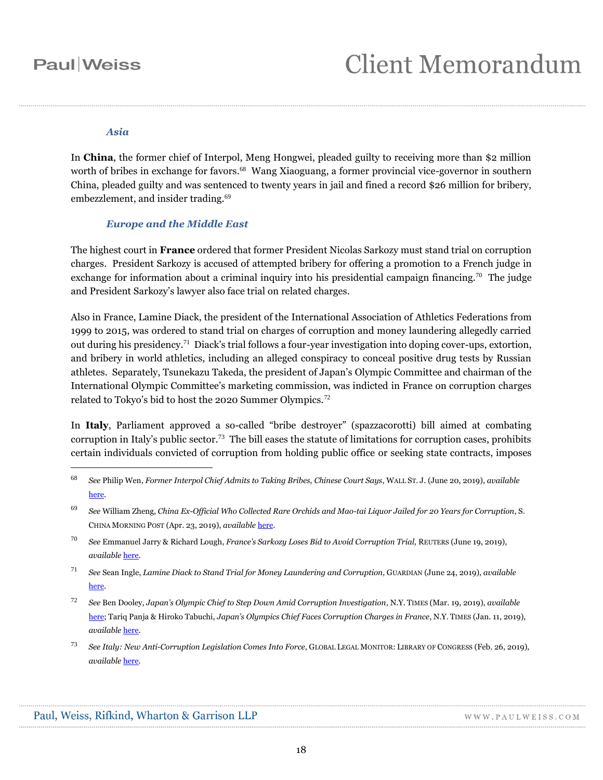### *Asia*

In **China**, the former chief of Interpol, Meng Hongwei, pleaded guilty to receiving more than \$2 million worth of bribes in exchange for favors. 68 Wang Xiaoguang, a former provincial vice-governor in southern China, pleaded guilty and was sentenced to twenty years in jail and fined a record \$26 million for bribery, embezzlement, and insider trading.<sup>69</sup>

### *Europe and the Middle East*

The highest court in **France** ordered that former President Nicolas Sarkozy must stand trial on corruption charges. President Sarkozy is accused of attempted bribery for offering a promotion to a French judge in exchange for information about a criminal inquiry into his presidential campaign financing.<sup>70</sup> The judge and President Sarkozy's lawyer also face trial on related charges.

Also in France, Lamine Diack, the president of the International Association of Athletics Federations from 1999 to 2015, was ordered to stand trial on charges of corruption and money laundering allegedly carried out during his presidency.<sup>71</sup> Diack's trial follows a four-year investigation into doping cover-ups, extortion, and bribery in world athletics, including an alleged conspiracy to conceal positive drug tests by Russian athletes. Separately, Tsunekazu Takeda, the president of Japan's Olympic Committee and chairman of the International Olympic Committee's marketing commission, was indicted in France on corruption charges related to Tokyo's bid to host the 2020 Summer Olympics.<sup>72</sup>

In **Italy**, Parliament approved a so-called "bribe destroyer" (spazzacorotti) bill aimed at combating corruption in Italy's public sector.<sup>73</sup> The bill eases the statute of limitations for corruption cases, prohibits certain individuals convicted of corruption from holding public office or seeking state contracts, imposes

<sup>68</sup> *See* Philip Wen, *Former Interpol Chief Admits to Taking Bribes, Chinese Court Says*, WALL ST. J. (June 20, 2019), *available* [here.](https://www.wsj.com/articles/former-interpol-chief-admits-to-taking-bribes-chinese-court-says-11561024497)

<sup>69</sup> *See* William Zheng, *China Ex-Official Who Collected Rare Orchids and Mao-tai Liquor Jailed for 20 Years for Corruption*, S. CHINA MORNING POST (Apr. 23, 2019), *available* [here.](https://www.scmp.com/news/china/politics/article/3007384/chinese-ex-official-who-collected-rare-orchids-and-mao-tai)

- <sup>70</sup> *See* Emmanuel Jarry & Richard Lough, *France's Sarkozy Loses Bid to Avoid Corruption Trial,* REUTERS (June 19, 2019), *available* [here.](https://af.reuters.com/article/worldNews/idAFKCN1TK1ND)
- <sup>71</sup> *See* Sean Ingle, *Lamine Diack to Stand Trial for Money Laundering and Corruption,* GUARDIAN (June 24, 2019), *available* [here.](https://www.theguardian.com/sport/2019/jun/24/lamine-diack-trial-money-laundering-corruption-iaaf)
- <sup>72</sup> *See* Ben Dooley, *Japan's Olympic Chief to Step Down Amid Corruption Investigation*, N.Y. TIMES (Mar. 19, 2019), *available* [here;](https://www.nytimes.com/2019/03/19/business/japan-olympics-bribery-corruption.html) Tariq Panja & Hiroko Tabuchi, *Japan's Olympics Chief Faces Corruption Charges in France*, N.Y. TIMES (Jan. 11, 2019), *available* [here.](https://www.nytimes.com/2019/01/11/world/europe/japan-olympics-corruption-tsunekazu-takeda.html#pwkey=pw2)
- <sup>73</sup> *See Italy: New Anti-Corruption Legislation Comes Into Force*, GLOBAL LEGAL MONITOR: LIBRARY OF CONGRESS (Feb. 26, 2019), *available* [here.](https://www.loc.gov/law/foreign-news/article/italy-new-anti-corruption-legislation-comes-into-force/)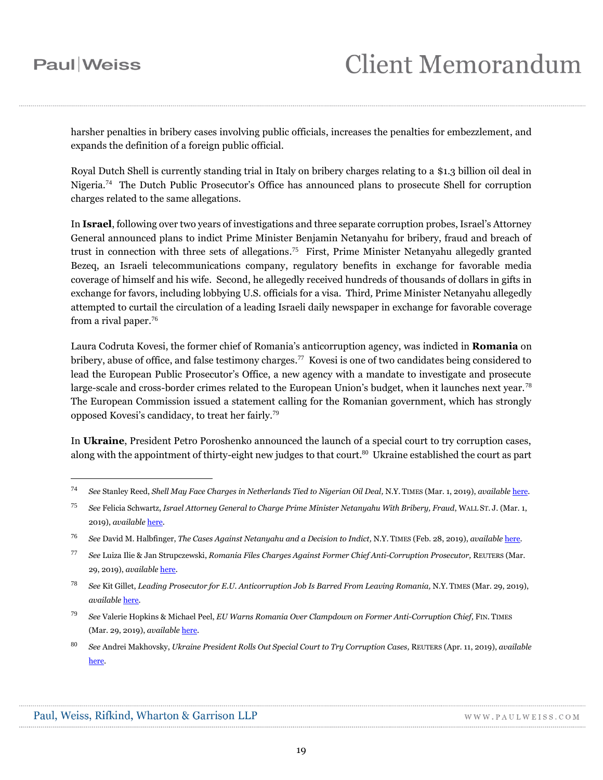$\overline{a}$ 

harsher penalties in bribery cases involving public officials, increases the penalties for embezzlement, and expands the definition of a foreign public official.

Royal Dutch Shell is currently standing trial in Italy on bribery charges relating to a \$1.3 billion oil deal in Nigeria.<sup>74</sup> The Dutch Public Prosecutor's Office has announced plans to prosecute Shell for corruption charges related to the same allegations.

In **Israel**, following over two years of investigations and three separate corruption probes, Israel's Attorney General announced plans to indict Prime Minister Benjamin Netanyahu for bribery, fraud and breach of trust in connection with three sets of allegations. 75 First, Prime Minister Netanyahu allegedly granted Bezeq, an Israeli telecommunications company, regulatory benefits in exchange for favorable media coverage of himself and his wife. Second, he allegedly received hundreds of thousands of dollars in gifts in exchange for favors, including lobbying U.S. officials for a visa. Third*,* Prime Minister Netanyahu allegedly attempted to curtail the circulation of a leading Israeli daily newspaper in exchange for favorable coverage from a rival paper. 76

Laura Codruta Kovesi, the former chief of Romania's anticorruption agency, was indicted in **Romania** on bribery, abuse of office, and false testimony charges.<sup>77</sup> Kovesi is one of two candidates being considered to lead the European Public Prosecutor's Office, a new agency with a mandate to investigate and prosecute large-scale and cross-border crimes related to the European Union's budget, when it launches next year.<sup>78</sup> The European Commission issued a statement calling for the Romanian government, which has strongly opposed Kovesi's candidacy, to treat her fairly.<sup>79</sup>

In **Ukraine**, President Petro Poroshenko announced the launch of a special court to try corruption cases, along with the appointment of thirty-eight new judges to that court. <sup>80</sup> Ukraine established the court as part

<sup>74</sup> *See* Stanley Reed, *Shell May Face Charges in Netherlands Tied to Nigerian Oil Deal,* N.Y. TIMES (Mar. 1, 2019), *available* [here.](https://www.nytimes.com/2019/03/01/business/shell-netherlands-nigeria-charges.html#pwkey=pw2)

<sup>75</sup> *See* Felicia Schwartz, *Israel Attorney General to Charge Prime Minister Netanyahu With Bribery, Fraud*, WALL ST. J. (Mar. 1, 2019), *available* [here.](https://www.wsj.com/articles/israel-attorney-general-to-charge-prime-minister-netanyahu-with-bribery-fraud-11551372317#pwkey=pw2)

<sup>76</sup> *See* David M. Halbfinger, *The Cases Against Netanyahu and a Decision to Indict,* N.Y. TIMES (Feb. 28, 2019), *available* [here.](https://www.nytimes.com/2019/02/28/world/middleeast/benjamin-netanyahu-indictment.html)

<sup>77</sup> *See* Luiza Ilie & Jan Strupczewski, *Romania Files Charges Against Former Chief Anti-Corruption Prosecutor,* REUTERS (Mar. 29, 2019), *available* [here.](https://www.reuters.com/article/us-romania-corruption/romania-files-charges-against-former-chief-anti-corruption-prosecutor-idUSKCN1RA1GD)

<sup>78</sup> *See* Kit Gillet, *Leading Prosecutor for E.U. Anticorruption Job Is Barred From Leaving Romania,* N.Y. TIMES (Mar. 29, 2019), *available* [here.](https://www.nytimes.com/2019/03/29/world/europe/romania-corruption-proescutor-eu.html)

<sup>&</sup>lt;sup>79</sup> See Valerie Hopkins & Michael Peel, *EU Warns Romania Over Clampdown on Former Anti-Corruption Chief, FIN. TIMES* (Mar. 29, 2019), *available* [here.](https://www.ft.com/content/cffb798c-51a1-11e9-b401-8d9ef1626294)

<sup>80</sup> *See* Andrei Makhovsky, *Ukraine President Rolls Out Special Court to Try Corruption Cases,* REUTERS (Apr. 11, 2019), *available* [here.](https://www.reuters.com/article/us-ukraine-election-imf/ukraine-president-rolls-out-special-court-to-try-corruption-cases-idUSKCN1RN1SQ)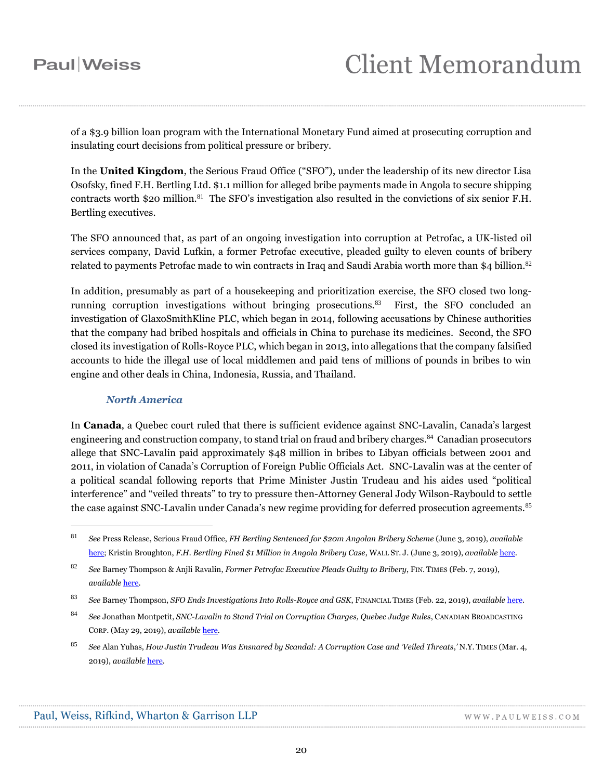of a \$3.9 billion loan program with the International Monetary Fund aimed at prosecuting corruption and insulating court decisions from political pressure or bribery.

In the **United Kingdom**, the Serious Fraud Office ("SFO"), under the leadership of its new director Lisa Osofsky, fined F.H. Bertling Ltd. \$1.1 million for alleged bribe payments made in Angola to secure shipping contracts worth \$20 million.<sup>81</sup> The SFO's investigation also resulted in the convictions of six senior F.H. Bertling executives.

The SFO announced that, as part of an ongoing investigation into corruption at Petrofac, a UK-listed oil services company, David Lufkin, a former Petrofac executive, pleaded guilty to eleven counts of bribery related to payments Petrofac made to win contracts in Iraq and Saudi Arabia worth more than \$4 billion.<sup>82</sup>

In addition, presumably as part of a housekeeping and prioritization exercise, the SFO closed two longrunning corruption investigations without bringing prosecutions.<sup>83</sup> First, the SFO concluded an investigation of GlaxoSmithKline PLC, which began in 2014, following accusations by Chinese authorities that the company had bribed hospitals and officials in China to purchase its medicines. Second, the SFO closed its investigation of Rolls-Royce PLC, which began in 2013, into allegations that the company falsified accounts to hide the illegal use of local middlemen and paid tens of millions of pounds in bribes to win engine and other deals in China, Indonesia, Russia, and Thailand.

### *North America*

 $\overline{a}$ 

In **Canada**, a Quebec court ruled that there is sufficient evidence against SNC-Lavalin, Canada's largest engineering and construction company, to stand trial on fraud and bribery charges. 84 Canadian prosecutors allege that SNC-Lavalin paid approximately \$48 million in bribes to Libyan officials between 2001 and 2011, in violation of Canada's Corruption of Foreign Public Officials Act. SNC-Lavalin was at the center of a political scandal following reports that Prime Minister Justin Trudeau and his aides used "political interference" and "veiled threats" to try to pressure then-Attorney General Jody Wilson-Raybould to settle the case against SNC-Lavalin under Canada's new regime providing for deferred prosecution agreements.<sup>85</sup>

<sup>83</sup> *See* Barney Thompson, *SFO Ends Investigations Into Rolls-Royce and GSK*, FINANCIAL TIMES (Feb. 22, 2019), *available* [here.](https://www.ft.com/content/4c931be4-3695-11e9-bb0c-42459962a812#pwkey=pw2)

<sup>81</sup> *See* Press Release, Serious Fraud Office, *FH Bertling Sentenced for \$20m Angolan Bribery Scheme* (June 3, 2019), *available* [here;](https://www.sfo.gov.uk/2019/06/03/fh-bertling-sentenced-for-20m-angolan-bribery-scheme/) Kristin Broughton, *F.H. Bertling Fined \$1 Million in Angola Bribery Case*, WALL ST. J. (June 3, 2019), *available* [here.](https://www.wsj.com/articles/f-h-bertling-fined-1-million-in-angola-bribery-case-11559601111)

<sup>82</sup> *See* Barney Thompson & Anjli Ravalin, *Former Petrofac Executive Pleads Guilty to Bribery*, FIN. TIMES (Feb. 7, 2019), *available* [here.](https://www.ft.com/content/11b156e2-2ab7-11e9-88a4-c32129756dd8)

<sup>84</sup> *See* Jonathan Montpetit, *SNC-Lavalin to Stand Trial on Corruption Charges, Quebec Judge Rules*, CANADIAN BROADCASTING CORP. (May 29, 2019), *available* [here.](https://www.cbc.ca/news/canada/montreal/snc-lavalin-trial-corruption-bribery-1.5153429)

<sup>85</sup> *See* Alan Yuhas, *How Justin Trudeau Was Ensnared by Scandal: A Corruption Case and 'Veiled Threats*,*'* N.Y. TIMES (Mar. 4, 2019), *available* [here.](https://www.nytimes.com/2019/03/04/world/canada/trudeau-scandal-SNC-Lavalin.html)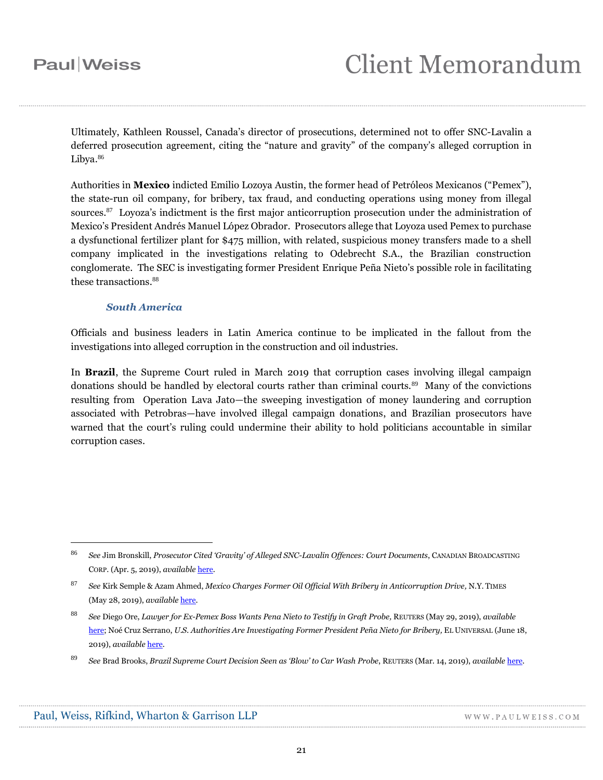Ultimately, Kathleen Roussel, Canada's director of prosecutions, determined not to offer SNC-Lavalin a deferred prosecution agreement, citing the "nature and gravity" of the company's alleged corruption in Libya.<sup>86</sup>

Authorities in **Mexico** indicted Emilio Lozoya Austin, the former head of Petróleos Mexicanos ("Pemex"), the state-run oil company, for bribery, tax fraud, and conducting operations using money from illegal sources.<sup>87</sup> Loyoza's indictment is the first major anticorruption prosecution under the administration of Mexico's President Andrés Manuel López Obrador. Prosecutors allege that Loyoza used Pemex to purchase a dysfunctional fertilizer plant for \$475 million, with related, suspicious money transfers made to a shell company implicated in the investigations relating to Odebrecht S.A., the Brazilian construction conglomerate. The SEC is investigating former President Enrique Peña Nieto's possible role in facilitating these transactions.<sup>88</sup>

### *South America*

Officials and business leaders in Latin America continue to be implicated in the fallout from the investigations into alleged corruption in the construction and oil industries.

In **Brazil**, the Supreme Court ruled in March 2019 that corruption cases involving illegal campaign donations should be handled by electoral courts rather than criminal courts.<sup>89</sup> Many of the convictions resulting from Operation Lava Jato—the sweeping investigation of money laundering and corruption associated with Petrobras—have involved illegal campaign donations, and Brazilian prosecutors have warned that the court's ruling could undermine their ability to hold politicians accountable in similar corruption cases.

<sup>86</sup> *See* Jim Bronskill, *Prosecutor Cited 'Gravity' of Alleged SNC-Lavalin Offences: Court Documents*, CANADIAN BROADCASTING CORP. (Apr. 5, 2019), *available* [here.](https://www.cbc.ca/news/politics/snc-lavalin-federal-court-appeal-1.5086604)

<sup>87</sup> *See* Kirk Semple & Azam Ahmed, *Mexico Charges Former Oil Official With Bribery in Anticorruption Drive,* N.Y. TIMES (May 28, 2019), *available* [here.](https://www.nytimes.com/2019/05/28/world/americas/mexico-corruption-prosecution-oil-company.html#pwkey=PW2)

<sup>88</sup> *See* Diego Ore, *Lawyer for Ex-Pemex Boss Wants Pena Nieto to Testify in Graft Probe,* REUTERS (May 29, 2019), *available* [here;](https://www.reuters.com/article/us-mexico-corruption-lawyer/lawyer-for-ex-pemex-boss-wants-pena-nieto-to-testify-in-graft-probe-idUSKCN1SZ1UA) Noé Cruz Serrano, *U.S. Authorities Are Investigating Former President Peña Nieto for Bribery,* EL UNIVERSAL (June 18, 2019), *available* [here.](https://www.eluniversal.com.mx/english/us-authorities-are-investigating-former-president-pena-nieto-bribery)

<sup>89</sup> *See* Brad Brooks, *Brazil Supreme Court Decision Seen as 'Blow' to Car Wash Probe*, REUTERS (Mar. 14, 2019), *available* [here.](https://www.reuters.com/article/us-brazil-corruption/brazil-supreme-court-decision-seen-as-blow-to-car-wash-probe-idUSKCN1QV3C4?il=0#pwkey=pw2)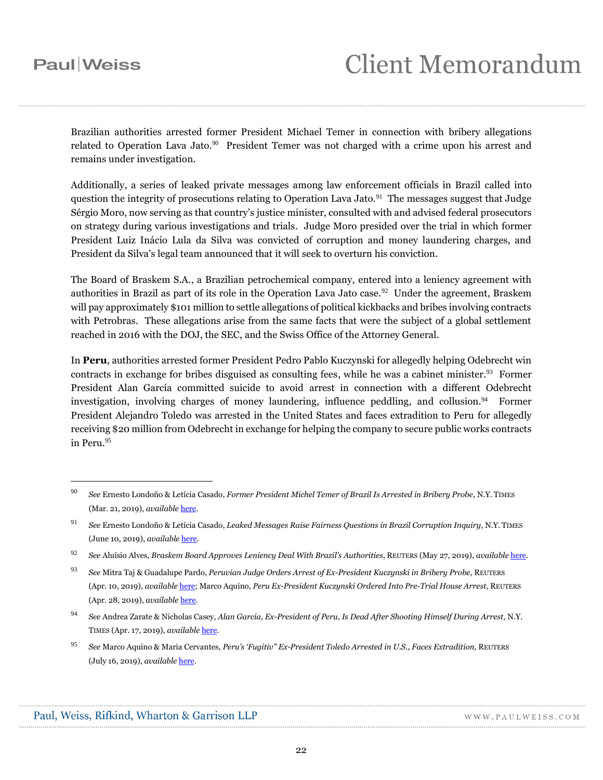# **Client Memorandum**

Brazilian authorities arrested former President Michael Temer in connection with bribery allegations related to Operation Lava Jato.<sup>90</sup> President Temer was not charged with a crime upon his arrest and remains under investigation.

Additionally, a series of leaked private messages among law enforcement officials in Brazil called into question the integrity of prosecutions relating to Operation Lava Jato.<sup>91</sup> The messages suggest that Judge Sérgio Moro, now serving as that country's justice minister, consulted with and advised federal prosecutors on strategy during various investigations and trials. Judge Moro presided over the trial in which former President Luiz Inácio Lula da Silva was convicted of corruption and money laundering charges, and President da Silva's legal team announced that it will seek to overturn his conviction.

The Board of Braskem S.A., a Brazilian petrochemical company, entered into a leniency agreement with authorities in Brazil as part of its role in the Operation Lava Jato case.<sup>92</sup> Under the agreement, Braskem will pay approximately \$101 million to settle allegations of political kickbacks and bribes involving contracts with Petrobras. These allegations arise from the same facts that were the subject of a global settlement reached in 2016 with the DOJ, the SEC, and the Swiss Office of the Attorney General.

In **Peru**, authorities arrested former President Pedro Pablo Kuczynski for allegedly helping Odebrecht win contracts in exchange for bribes disguised as consulting fees, while he was a cabinet minister.<sup>93</sup> Former President Alan García committed suicide to avoid arrest in connection with a different Odebrecht investigation, involving charges of money laundering, influence peddling, and collusion.<sup>94</sup> Former President Alejandro Toledo was arrested in the United States and faces extradition to Peru for allegedly receiving \$20 million from Odebrecht in exchange for helping the company to secure public works contracts in Peru. 95

<sup>90</sup> *See* Ernesto Londoño & Letícia Casado, *Former President Michel Temer of Brazil Is Arrested in Bribery Probe*, N.Y. TIMES (Mar. 21, 2019), *available* [here.](https://www.nytimes.com/2019/03/21/world/americas/michel-temer-arrested-prisao.html#pwkey=pw2)

<sup>91</sup> *See* Ernesto Londoño & Letícia Casado, *Leaked Messages Raise Fairness Questions in Brazil Corruption Inquiry*, N.Y. TIMES (June 10, 2019), *available* [here.](https://www.nytimes.com/2019/06/10/world/americas/brazil-car-wash-lava-jato.html)

<sup>92</sup> *See* Aluísio Alves, *Braskem Board Approves Leniency Deal With Brazil's Authorities*, REUTERS (May 27, 2019), *available* [here.](https://www.reuters.com/article/braskem-settlement-idCNE4N21D005)

<sup>93</sup> *See* Mitra Taj & Guadalupe Pardo, *Peruvian Judge Orders Arrest of Ex-President Kuczynski in Bribery Probe*, REUTERS (Apr. 10, 2019), *available* [here;](https://www.reuters.com/article/us-peru-corruption/peruvian-judge-orders-arrest-of-ex-president-kuczynski-in-bribery-probe-idUSKCN1RM1SA) Marco Aquino, *Peru Ex-President Kuczynski Ordered Into Pre-Trial House Arrest*, REUTERS (Apr. 28, 2019), *available* [here.](https://www.reuters.com/article/us-peru-corruption/peru-ex-president-kuczynski-ordered-into-pre-trial-house-arrest-idUSKCN1S40BG)

<sup>94</sup> *See* Andrea Zarate & Nicholas Casey, *Alan García, Ex-President of Peru, Is Dead After Shooting Himself During Arrest,* N.Y. TIMES (Apr. 17, 2019), *available* [here.](https://www.nytimes.com/2019/04/17/world/americas/alan-garcia-dead.html)

<sup>95</sup> *See* Marco Aquino & Maria Cervantes, *Peru's 'Fugitiv'' Ex-President Toledo Arrested in U.S., Faces Extradition,* REUTERS (July 16, 2019), *available* [here.](https://www.reuters.com/article/us-peru-extradition-usa/peru-ex-president-toledo-arrested-in-us-as-prosecutor-seeks-extradition-idUSKCN1UB2EL)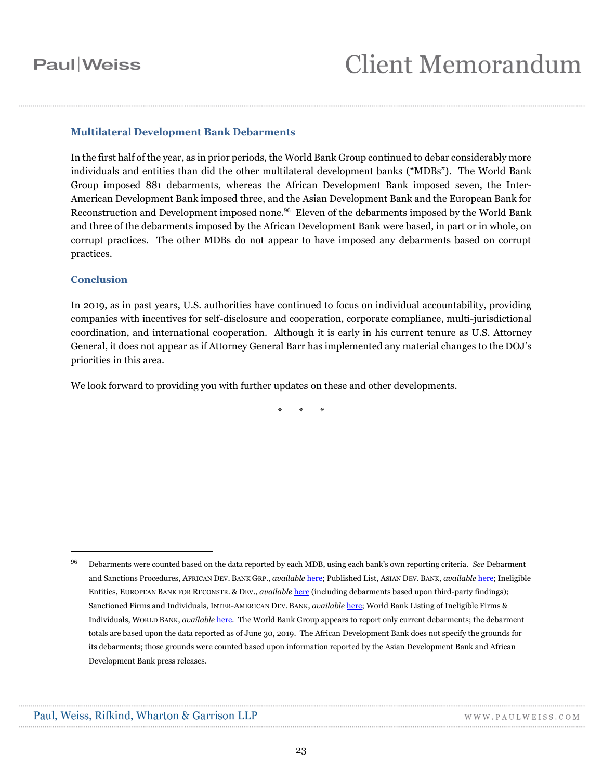#### **Multilateral Development Bank Debarments**

In the first half of the year, as in prior periods, the World Bank Group continued to debar considerably more individuals and entities than did the other multilateral development banks ("MDBs"). The World Bank Group imposed 881 debarments, whereas the African Development Bank imposed seven, the Inter-American Development Bank imposed three, and the Asian Development Bank and the European Bank for Reconstruction and Development imposed none.<sup>96</sup> Eleven of the debarments imposed by the World Bank and three of the debarments imposed by the African Development Bank were based, in part or in whole, on corrupt practices. The other MDBs do not appear to have imposed any debarments based on corrupt practices.

#### **Conclusion**

 $\overline{a}$ 

In 2019, as in past years, U.S. authorities have continued to focus on individual accountability, providing companies with incentives for self-disclosure and cooperation, corporate compliance, multi-jurisdictional coordination, and international cooperation. Although it is early in his current tenure as U.S. Attorney General, it does not appear as if Attorney General Barr has implemented any material changes to the DOJ's priorities in this area.

We look forward to providing you with further updates on these and other developments.

\* \* \*

<sup>96</sup> Debarments were counted based on the data reported by each MDB, using each bank's own reporting criteria. *See* Debarment and Sanctions Procedures, AFRICAN DEV. BANK GRP., *available* [here;](https://www.afdb.org/en/projects-operations/debarment-and-sanctions-procedures) Published List, ASIAN DEV. BANK, *available* [here;](http://lnadbg4.adb.org/oga0009p.nsf/%20sancALLPublic?OpenView&count=999) Ineligible Entities, EUROPEAN BANK FOR RECONSTR. & DEV., *available* [here](http://www.ebrd.com/ineligible-entities.html) (including debarments based upon third-party findings); Sanctioned Firms and Individuals, INTER-AMERICAN DEV. BANK, *available* [here;](https://www.iadb.org/en/transparency/sanctioned-firms-and-individuals) World Bank Listing of Ineligible Firms & Individuals, WORLD BANK, *available* [here.](http://www.worldbank.org/en/projects-operations/procurement/debarred-firms) The World Bank Group appears to report only current debarments; the debarment totals are based upon the data reported as of June 30, 2019. The African Development Bank does not specify the grounds for its debarments; those grounds were counted based upon information reported by the Asian Development Bank and African Development Bank press releases.